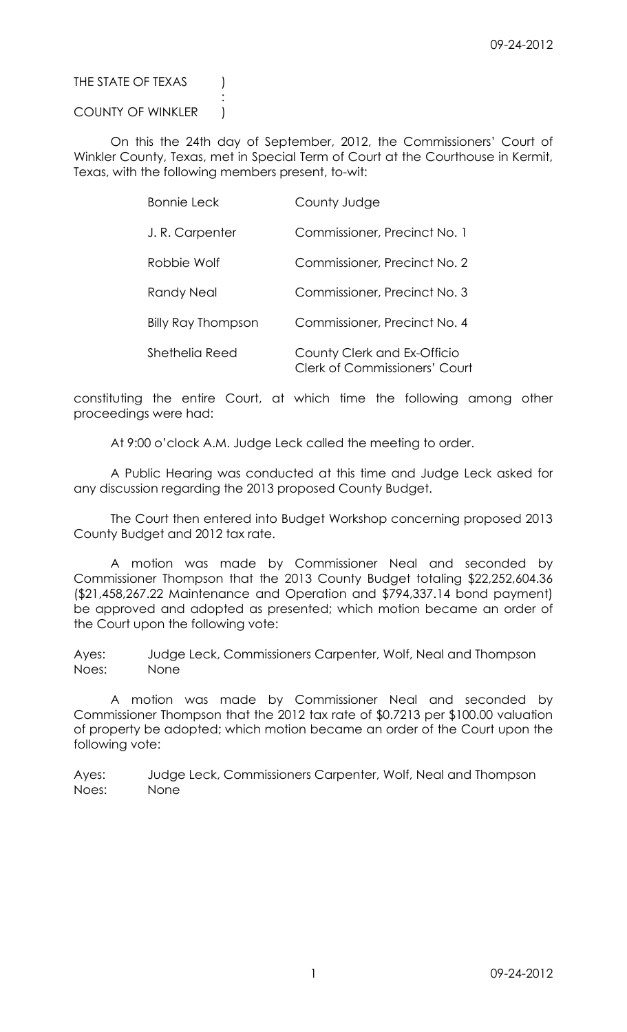## THE STATE OF TEXAS (

## COUNTY OF WINKLER )

:

On this the 24th day of September, 2012, the Commissioners' Court of Winkler County, Texas, met in Special Term of Court at the Courthouse in Kermit, Texas, with the following members present, to-wit:

| <b>Bonnie Leck</b>        | County Judge                                                        |
|---------------------------|---------------------------------------------------------------------|
| J.R. Carpenter            | Commissioner, Precinct No. 1                                        |
| Robbie Wolf               | Commissioner, Precinct No. 2                                        |
| Randy Neal                | Commissioner, Precinct No. 3                                        |
| <b>Billy Ray Thompson</b> | Commissioner, Precinct No. 4                                        |
| Shethelia Reed            | County Clerk and Ex-Officio<br><b>Clerk of Commissioners' Court</b> |

constituting the entire Court, at which time the following among other proceedings were had:

At 9:00 o'clock A.M. Judge Leck called the meeting to order.

A Public Hearing was conducted at this time and Judge Leck asked for any discussion regarding the 2013 proposed County Budget.

The Court then entered into Budget Workshop concerning proposed 2013 County Budget and 2012 tax rate.

A motion was made by Commissioner Neal and seconded by Commissioner Thompson that the 2013 County Budget totaling \$22,252,604.36 (\$21,458,267.22 Maintenance and Operation and \$794,337.14 bond payment) be approved and adopted as presented; which motion became an order of the Court upon the following vote:

Ayes: Judge Leck, Commissioners Carpenter, Wolf, Neal and Thompson Noes: None

A motion was made by Commissioner Neal and seconded by Commissioner Thompson that the 2012 tax rate of \$0.7213 per \$100.00 valuation of property be adopted; which motion became an order of the Court upon the following vote:

Ayes: Judge Leck, Commissioners Carpenter, Wolf, Neal and Thompson Noes: None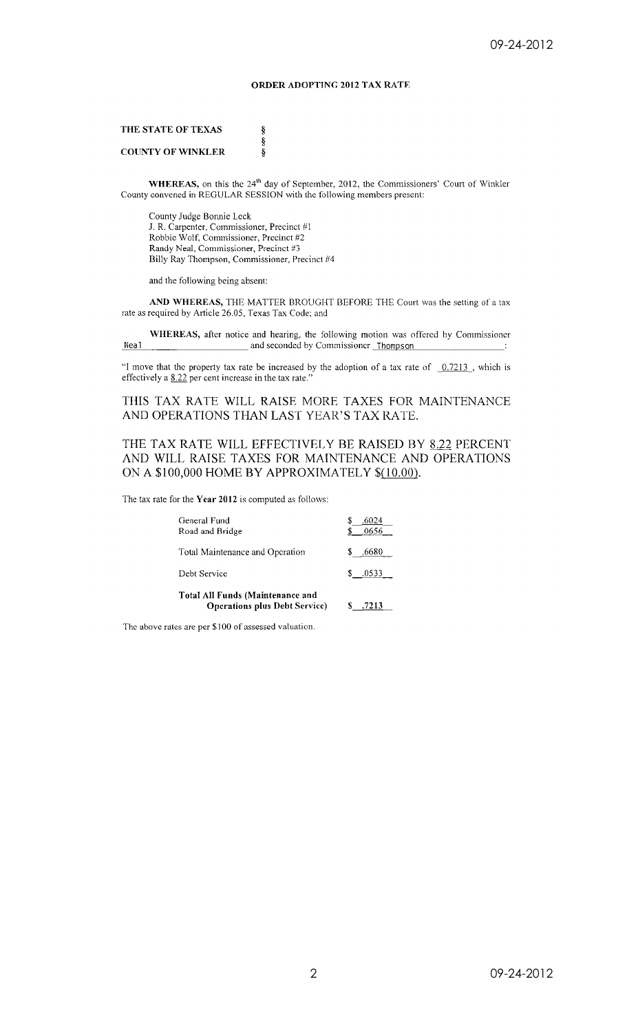## **ORDER ADOPTING 2012 TAX RATE**

THE STATE OF TEXAS

### **COUNTY OF WINKLER**

WHEREAS, on this the 24<sup>th</sup> day of September, 2012, the Commissioners' Court of Winkler County convened in REGULAR SESSION with the following members present:

County Judge Bonnie Leck J. R. Carpenter, Commissioner, Precinct #1 Robbie Wolf, Commissioner, Precinct #2 Randy Neal, Commissioner, Precinct #3 Billy Ray Thompson, Commissioner, Precinct #4

ş ş

Ş

and the following being absent:

AND WHEREAS, THE MATTER BROUGHT BEFORE THE Court was the setting of a tax rate as required by Article 26.05, Texas Tax Code; and

WHEREAS, after notice and hearing, the following motion was offered by Commissioner and seconded by Commissioner Thompson Neal

"I move that the property tax rate be increased by the adoption of a tax rate of  $\sqrt{0.7213}$ , which is effectively a 8.22 per cent increase in the tax rate.'

THIS TAX RATE WILL RAISE MORE TAXES FOR MAINTENANCE AND OPERATIONS THAN LAST YEAR'S TAX RATE.

### THE TAX RATE WILL EFFECTIVELY BE RAISED BY 8.22 PERCENT AND WILL RAISE TAXES FOR MAINTENANCE AND OPERATIONS ON A \$100,000 HOME BY APPROXIMATELY \$(10.00).

The tax rate for the Year 2012 is computed as follows:

| General Fund<br>Road and Bridge                                                 | .0656       |
|---------------------------------------------------------------------------------|-------------|
| Total Maintenance and Operation                                                 | S<br>.6680  |
| Debt Service                                                                    | S.<br>.0533 |
| <b>Total All Funds (Maintenance and</b><br><b>Operations plus Debt Service)</b> | .7213       |

The above rates are per \$100 of assessed valuation.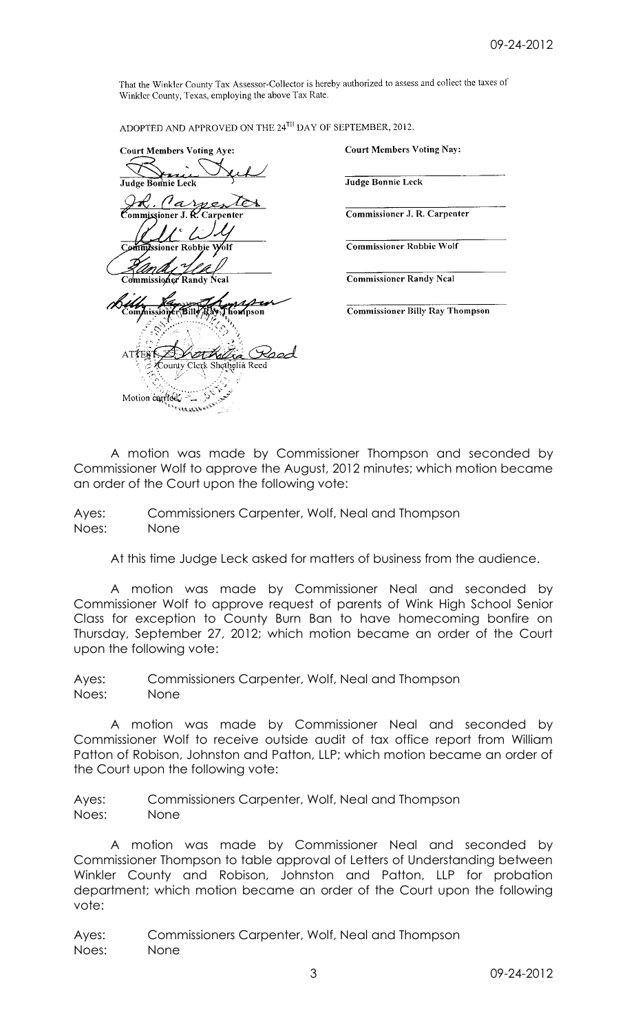That the Winkler County Tax Assessor-Collector is hereby authorized to assess and collect the taxes of Winkler County, Texas, employing the above Tax Rate.

ADOPTED AND APPROVED ON THE 24<sup>TH</sup> DAY OF SEPTEMBER, 2012.

**Court Members Voting Aye:** Judge Bonnie Leck <u>A. Carpent</u><br>Commissioner J. R. Carpenter Commissioner Randv ิ์ทีïปะ Thompson Clerk Shethelia Reed `ountv Motion carried.

**Court Members Voting Nay:** 

Judge Bonnie Leck

Commissioner J. R. Carpenter

**Commissioner Robbie Wolf** 

**Commissioner Randy Neal** 

**Commissioner Billy Ray Thompson** 

A motion was made by Commissioner Thompson and seconded by Commissioner Wolf to approve the August, 2012 minutes; which motion became an order of the Court upon the following vote:

Ayes: Commissioners Carpenter, Wolf, Neal and Thompson Noes: None

At this time Judge Leck asked for matters of business from the audience.

A motion was made by Commissioner Neal and seconded by Commissioner Wolf to approve request of parents of Wink High School Senior Class for exception to County Burn Ban to have homecoming bonfire on Thursday, September 27, 2012; which motion became an order of the Court upon the following vote:

Ayes: Commissioners Carpenter, Wolf, Neal and Thompson Noes: None

A motion was made by Commissioner Neal and seconded by Commissioner Wolf to receive outside audit of tax office report from William Patton of Robison, Johnston and Patton, LLP; which motion became an order of the Court upon the following vote:

Ayes: Commissioners Carpenter, Wolf, Neal and Thompson Noes: None

A motion was made by Commissioner Neal and seconded by Commissioner Thompson to table approval of Letters of Understanding between Winkler County and Robison, Johnston and Patton, LLP for probation department; which motion became an order of the Court upon the following vote:

Ayes: Commissioners Carpenter, Wolf, Neal and Thompson Noes: None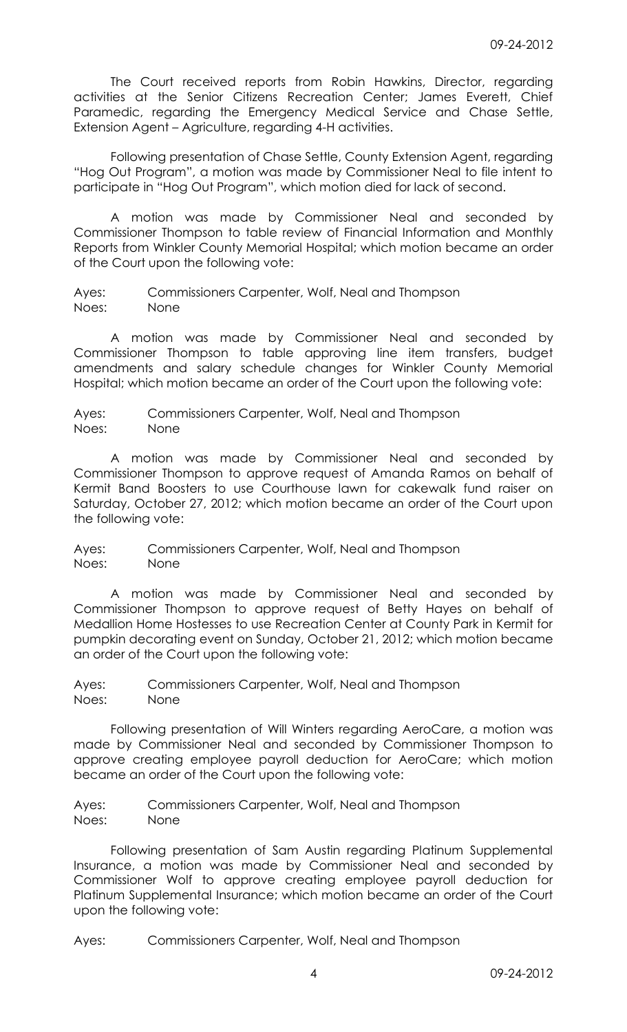The Court received reports from Robin Hawkins, Director, regarding activities at the Senior Citizens Recreation Center; James Everett, Chief Paramedic, regarding the Emergency Medical Service and Chase Settle, Extension Agent – Agriculture, regarding 4-H activities.

Following presentation of Chase Settle, County Extension Agent, regarding "Hog Out Program", a motion was made by Commissioner Neal to file intent to participate in "Hog Out Program", which motion died for lack of second.

A motion was made by Commissioner Neal and seconded by Commissioner Thompson to table review of Financial Information and Monthly Reports from Winkler County Memorial Hospital; which motion became an order of the Court upon the following vote:

Ayes: Commissioners Carpenter, Wolf, Neal and Thompson Noes: None

A motion was made by Commissioner Neal and seconded by Commissioner Thompson to table approving line item transfers, budget amendments and salary schedule changes for Winkler County Memorial Hospital; which motion became an order of the Court upon the following vote:

Ayes: Commissioners Carpenter, Wolf, Neal and Thompson Noes: None

A motion was made by Commissioner Neal and seconded by Commissioner Thompson to approve request of Amanda Ramos on behalf of Kermit Band Boosters to use Courthouse lawn for cakewalk fund raiser on Saturday, October 27, 2012; which motion became an order of the Court upon the following vote:

Ayes: Commissioners Carpenter, Wolf, Neal and Thompson Noes: None

A motion was made by Commissioner Neal and seconded by Commissioner Thompson to approve request of Betty Hayes on behalf of Medallion Home Hostesses to use Recreation Center at County Park in Kermit for pumpkin decorating event on Sunday, October 21, 2012; which motion became an order of the Court upon the following vote:

Ayes: Commissioners Carpenter, Wolf, Neal and Thompson Noes: None

Following presentation of Will Winters regarding AeroCare, a motion was made by Commissioner Neal and seconded by Commissioner Thompson to approve creating employee payroll deduction for AeroCare; which motion became an order of the Court upon the following vote:

Ayes: Commissioners Carpenter, Wolf, Neal and Thompson Noes: None

Following presentation of Sam Austin regarding Platinum Supplemental Insurance, a motion was made by Commissioner Neal and seconded by Commissioner Wolf to approve creating employee payroll deduction for Platinum Supplemental Insurance; which motion became an order of the Court upon the following vote:

Ayes: Commissioners Carpenter, Wolf, Neal and Thompson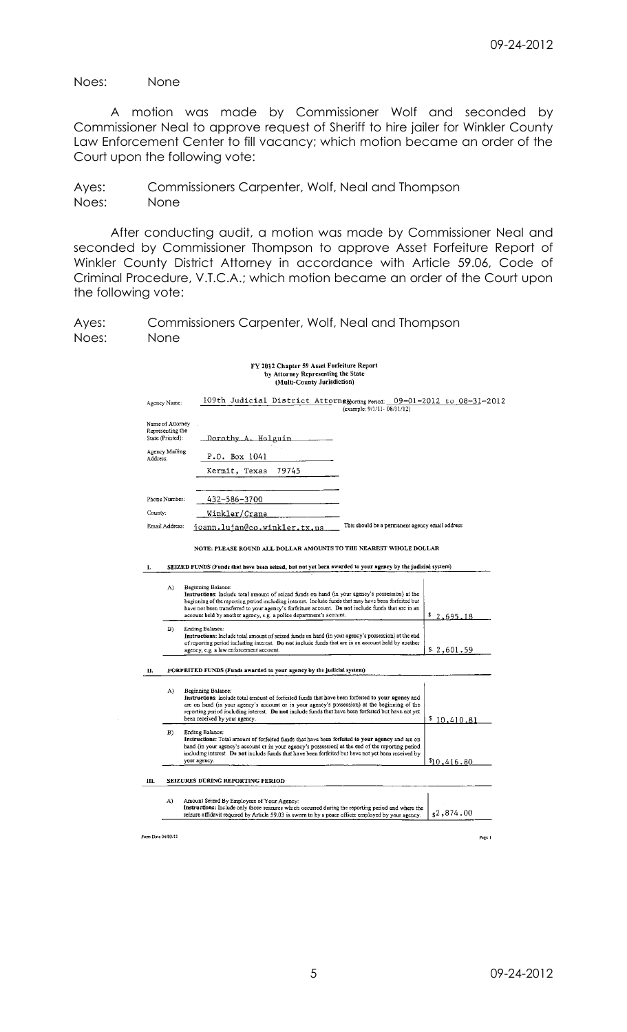Noes: None

A motion was made by Commissioner Wolf and seconded by Commissioner Neal to approve request of Sheriff to hire jailer for Winkler County Law Enforcement Center to fill vacancy; which motion became an order of the Court upon the following vote:

Ayes: Commissioners Carpenter, Wolf, Neal and Thompson Noes: None

After conducting audit, a motion was made by Commissioner Neal and seconded by Commissioner Thompson to approve Asset Forfeiture Report of Winkler County District Attorney in accordance with Article 59.06, Code of Criminal Procedure, V.T.C.A.; which motion became an order of the Court upon the following vote:

Ayes: Commissioners Carpenter, Wolf, Neal and Thompson Noes: None

## FY 2012 Chapter 59 Asset Forfeiture Report by Attorney Representing the State<br>(Multi-County Jurisdiction)

| Agency Name: |  | 109th Judicial District Attorng Monting Period: 09-01-2012 to 08-31-2012 |  |
|--------------|--|--------------------------------------------------------------------------|--|
|              |  | (example: $9/1/11 - 08/31/12$ )                                          |  |

| Name of Attorney<br>Representing the<br>State (Printed): | Dorothy A. Holguin           |                                                 |
|----------------------------------------------------------|------------------------------|-------------------------------------------------|
| Agency Mailing<br>Address:                               | P.O. Box 1041                |                                                 |
|                                                          | Kermit, Texas<br>79745       |                                                 |
|                                                          |                              |                                                 |
| Phone Number:                                            | 432-586-3700                 |                                                 |
| County:                                                  | Winkler/Crane                |                                                 |
| Email Address:                                           | joann.lujan@co.winkler.tx,us | This should be a permanent agency email address |

NOTE: PLEASE ROUND ALL DOLLAR AMOUNTS TO THE NEAREST WHOLE DOLLAR

| SEIZED FUNDS (Funds that have been seized, but not yet been awarded to your agency by the judicial system) |
|------------------------------------------------------------------------------------------------------------|
|                                                                                                            |

|      | A) | Beginning Balance:<br>Instructions: include total amount of seized funds on hand (in your agency's possession) at the<br>beginning of the reporting period including interest. Include funds that may have been forfeited but<br>have not been transferred to your agency's forfeiture account. Do not include funds that are in an<br>account held by another agency, e.g. a police department's account. | \$2,695.18  |
|------|----|------------------------------------------------------------------------------------------------------------------------------------------------------------------------------------------------------------------------------------------------------------------------------------------------------------------------------------------------------------------------------------------------------------|-------------|
|      | B) | Ending Balance:<br>Instructions: Include total amount of seized funds on hand (in your agency's possession) at the end<br>of reporting period including interest. Do not include funds that are in an account held by another<br>agency, e.g. a law enforcement account.                                                                                                                                   | \$2,601.59  |
| П.   |    | FORFEITED FUNDS (Funds awarded to your agency by the judicial system)                                                                                                                                                                                                                                                                                                                                      |             |
|      | A) | Beginning Balance:<br>Instructions: Include total amount of forfeited funds that have been forfeited to your agency and<br>are on hand (in your agency's account or in your agency's possession) at the beginning of the<br>reporting period including interest. Do not include funds that have been forfeited but have not yet<br>been received by your agency.                                           | \$10,410.81 |
|      | B) | Ending Balance:<br>Instructions: Total amount of forfeited funds that have been forfeited to your agency and are on<br>hand (in your agency's account or in your agency's possession) at the end of the reporting period<br>including interest. Do not include funds that have been forfeited but have not yet been received by<br>your agency.                                                            | \$10,416.80 |
| III. |    | <b>SEIZURES DURING REPORTING PERIOD</b>                                                                                                                                                                                                                                                                                                                                                                    |             |
|      | A) | Amount Seized By Employees of Your Agency:<br>Instructions: Include only those seizures which occurred during the reporting period and where the<br>seizure affidavit required by Article 59.03 is sworn to by a peace officer employed by your agency.                                                                                                                                                    | 2,874.00    |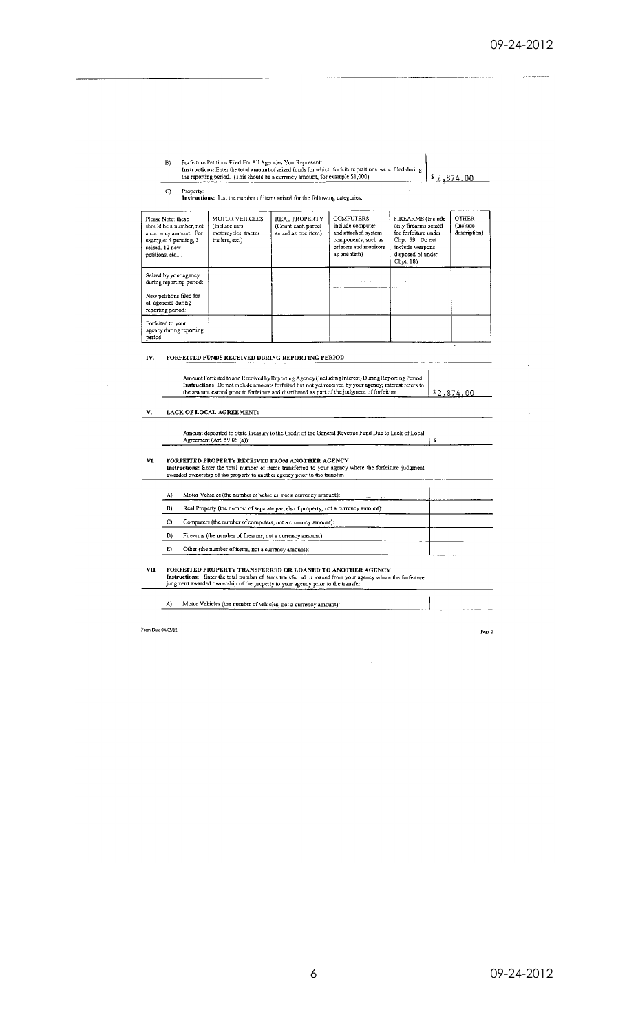| B١ | Forfeiture Petitions Filed For All Agencies You Represent:<br>Instructions: Enter the total amount of seized funds for which forfeiture petitions were filed during<br>the reporting period. (This should be a currency amount, for example \$1,000). | \$2.874.00 |
|----|-------------------------------------------------------------------------------------------------------------------------------------------------------------------------------------------------------------------------------------------------------|------------|
|    | Property:                                                                                                                                                                                                                                             |            |

the reporting period. (This should be a currency amount, for example \$1,000)<br>
C Property:<br> **Instructions:** List the number of items seized for the following categories:

| Please Note: these<br>should be a number, not<br>a currency amount. For<br>example: 4 pending, 3<br>seized, 12 new<br>petitions, etc | <b>MOTOR VEHICLES</b><br>(Include cars,<br>motorcycles, tractor<br>trailers, etc.) | <b>REAL PROPERTY</b><br>(Count each parcel<br>seized as one item) | <b>COMPUTERS</b><br>Include computer<br>and attached system<br>components, such as<br>printers and monitors<br>as one item) | FIREARMS (Include<br>only firearms seized<br>for forfeiture under<br>Chpt. 59. Do not<br>include weapons<br>disposed of under<br>Chpt. 18) | <b>OTHER</b><br>(Include)<br>description) |
|--------------------------------------------------------------------------------------------------------------------------------------|------------------------------------------------------------------------------------|-------------------------------------------------------------------|-----------------------------------------------------------------------------------------------------------------------------|--------------------------------------------------------------------------------------------------------------------------------------------|-------------------------------------------|
| Seized by your agency<br>during reporting period:                                                                                    |                                                                                    |                                                                   | The Story Story                                                                                                             |                                                                                                                                            |                                           |
| New petitions filed for<br>all agencies during<br>reporting period:                                                                  |                                                                                    |                                                                   |                                                                                                                             |                                                                                                                                            |                                           |
| Forfeited to your<br>agency during reporting<br>period:                                                                              |                                                                                    |                                                                   |                                                                                                                             |                                                                                                                                            |                                           |

## IV. FORFEITED FUNDS RECEIVED DURING REPORTING PERIOD

| Amount Forfeited to and Received by Reporting Agency (Including Interest) During Reporting Period:     |             |
|--------------------------------------------------------------------------------------------------------|-------------|
| Instructions: Do not include amounts forfeited but not yet received by your agency; interest refers to |             |
| the amount earned prior to forfeiture and distributed as part of the judgment of forfeiture.           | l\$2,874.00 |
|                                                                                                        |             |

### $V.$  LACK OF LOCAL AGREEMENT:

Ŷ,

| VI. |              | FORFEITED PROPERTY RECEIVED FROM ANOTHER AGENCY<br>Instructions: Enter the total number of items transferred to your agency where the forfeiture judgment<br>awarded ownership of the property to another agency prior to the transfer.                     |  |
|-----|--------------|-------------------------------------------------------------------------------------------------------------------------------------------------------------------------------------------------------------------------------------------------------------|--|
|     | A)           | Motor Vehicles (the number of vehicles, not a currency amount):                                                                                                                                                                                             |  |
|     | B)           | Real Property (the number of separate parcels of property, not a currency amount):                                                                                                                                                                          |  |
|     | $\mathbf{C}$ | Computers (the number of computers, not a currency amount):                                                                                                                                                                                                 |  |
|     | D)           | Firearms (the number of firearms, not a currency amount):                                                                                                                                                                                                   |  |
|     | E)           | Other (the number of items, not a currency amount):                                                                                                                                                                                                         |  |
| VH. |              | FORFEITED PROPERTY TRANSFERRED OR LOANED TO ANOTHER AGENCY<br>Instructions: Enter the total number of items transferred or loaned from your agency where the forfeiture<br>judgment awarded ownership of the property to your agency prior to the transfer. |  |

Form Date 04/03/12

Page 2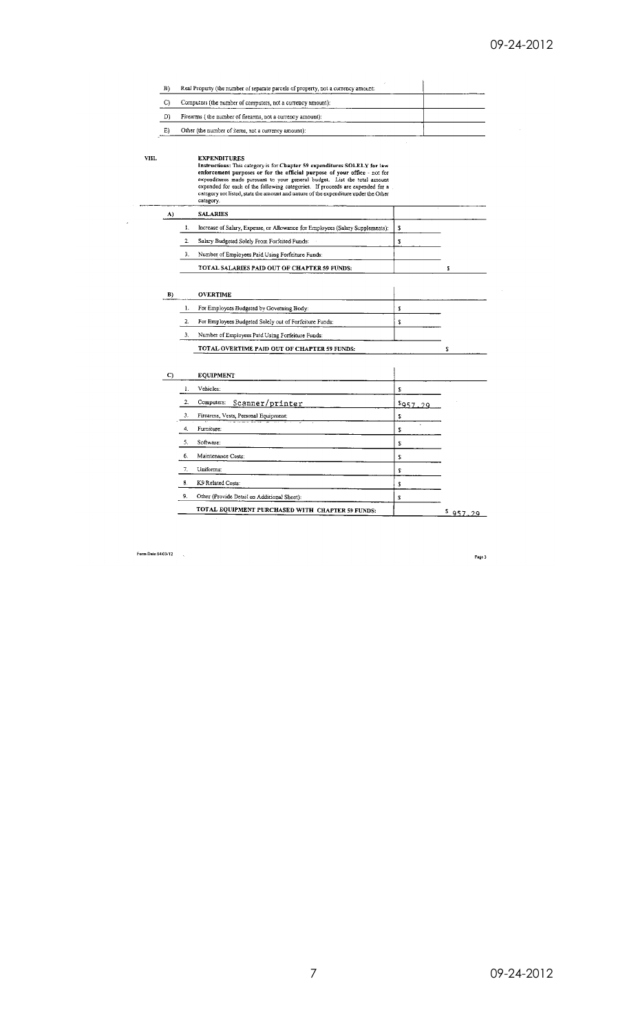| B  | Real Property (the number of separate parcels of property, not a currency amount: |  |
|----|-----------------------------------------------------------------------------------|--|
|    | Computers (the number of computers, not a currency amount):                       |  |
| D  | Firearms (the number of firearms, not a currency amount):                         |  |
| E) | Other (the number of items, not a currency amount):                               |  |

VIII.

 $\overline{\phantom{a}}$ 

**EXPENDITURES**<br>Instructions: This category is for Chapter 59 expenditures SOLELY for law<br>enforcement purposes or for the official purpose of your office - not for<br>expenditures made pursuant to your general budget. List th

| A) |    | <b>SALARIES</b>                                                               |  |
|----|----|-------------------------------------------------------------------------------|--|
|    |    | Increase of Salary, Expense, or Allowance for Employees (Salary Supplements): |  |
|    |    | Salary Budgeted Solely From Forfeited Funds:                                  |  |
|    | 3. | Number of Employees Paid Using Forfeiture Funds:                              |  |
|    |    | TOTAL SALARIES PAID OUT OF CHAPTER 59 FUNDS:                                  |  |
|    |    |                                                                               |  |
| B) |    | <b>OVERTIME</b>                                                               |  |
|    |    | For Employees Budgeted by Governing Body:                                     |  |

| For Employees Budgeted Solely out of Forfeiture Funds: |  |
|--------------------------------------------------------|--|
| Number of Employees Paid Using Forfeiture Funds:       |  |

TOTAL OVERTIME PAID OUT OF CHAPTER 59 FUNDS:

|                  | <b>EQUIPMENT</b>                                 |              |  |
|------------------|--------------------------------------------------|--------------|--|
| 1.               | Vehicles:                                        | S            |  |
| $\overline{2}$ . | Scanner/printer<br>Computers:                    | $s_{957229}$ |  |
| 3.               | Firearms, Vests, Personal Equipment:             | 2            |  |
| 4.               | Furniture:                                       | ٠<br>\$      |  |
| 5.               | Software:                                        | T            |  |
| 6.               | Maintenance Costs:                               | \$           |  |
| 7.               | Uniforms:                                        | S            |  |
| 8.               | K9 Related Costs:                                | s            |  |
| 9.               | Other (Provide Detail on Additional Sheet):      | S            |  |
|                  | TOTAL EQUIPMENT PURCHASED WITH CHAPTER 59 FUNDS: |              |  |

Form Date 04/03/12  $\qquad$ ,

Page 3

 $\mathbb{S}^{\times}$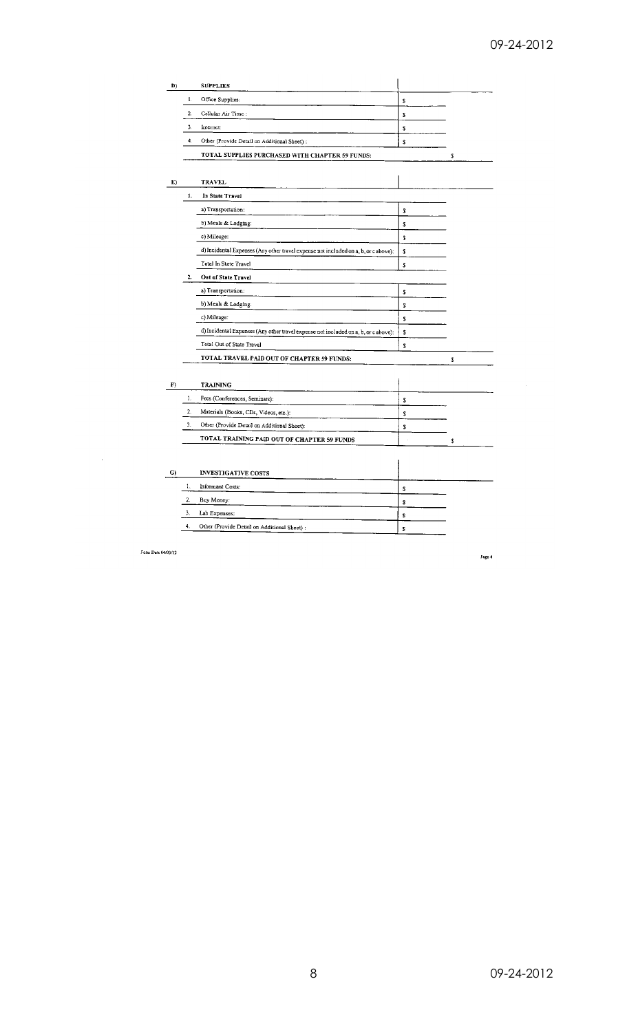| D) |    | <b>SUPPLIES</b>                                                                     |    |    |
|----|----|-------------------------------------------------------------------------------------|----|----|
|    | 1. | Office Supplies:                                                                    | \$ |    |
|    | 2. | Cellular Air Time:                                                                  | S  |    |
|    | 3. | Internet:                                                                           | \$ |    |
|    | 4. | Other (Provide Detail on Additional Sheet) :                                        | \$ |    |
|    |    | TOTAL SUPPLIES PURCHASED WITH CHAPTER 59 FUNDS:                                     |    | \$ |
|    |    |                                                                                     |    |    |
| E) |    | <b>TRAVEL</b>                                                                       |    |    |
|    | 1. | In State Travel                                                                     |    |    |
|    |    | a) Transportation:                                                                  | s  |    |
|    |    | b) Meals & Lodging:                                                                 | 2  |    |
|    |    | c) Mileage:                                                                         | S  |    |
|    |    | d) Incidental Expenses (Any other travel expense not included on a, b, or c above): | \$ |    |
|    |    | Total In State Travel                                                               | s  |    |
|    | 2. | Out of State Travel                                                                 |    |    |
|    |    | a) Transportation:                                                                  | s  |    |
|    |    | b) Meals & Lodging:                                                                 | 5  |    |
|    |    | c) Mileage:                                                                         | S  |    |
|    |    | d) Incidental Expenses (Any other travel expense not included on a, b, or c above): | \$ |    |
|    |    | Total Out of State Travel                                                           | S  |    |
|    |    | TOTAL TRAVEL PAID OUT OF CHAPTER 59 FUNDS:                                          |    | s  |
|    |    |                                                                                     |    |    |
| F) |    | <b>TRAINING</b>                                                                     |    |    |
|    | 1. | Fees (Conferences, Seminars):                                                       | s  |    |
|    | 2. | Materials (Books, CDs, Videos, etc.):                                               | \$ |    |
|    | 3. | Other (Provide Detail on Additional Sheet):                                         | s  |    |
|    |    | TOTAL TRAINING PAID OUT OF CHAPTER 59 FUNDS                                         |    | \$ |
|    |    |                                                                                     |    |    |
| G) |    | <b>INVESTIGATIVE COSTS</b>                                                          |    |    |
|    | 1. | Informant Costs:                                                                    | 2  |    |
|    | 2. | Buy Money:                                                                          | 2  |    |
|    | 3. | Lab Expenses:                                                                       | s  |    |
|    | 4. | Other (Provide Detail on Additional Sheet) :                                        | 2  |    |
|    |    |                                                                                     |    |    |

Form Date 04/03/12

 $\frac{1}{2} \frac{1}{2} \frac{1}{2} \frac{1}{2} \frac{1}{2}$ 

Page 4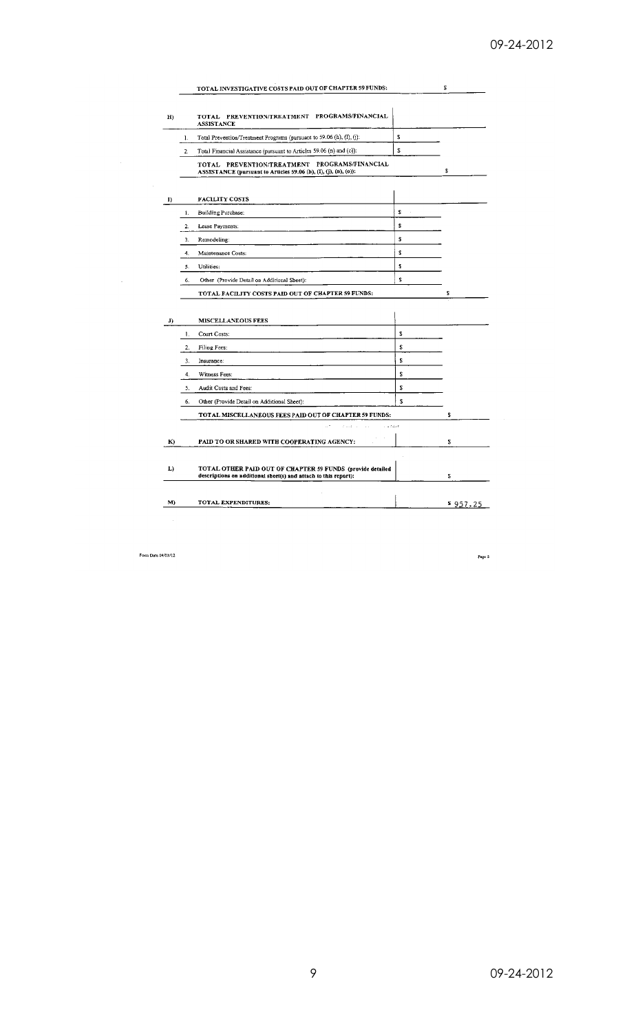|                |    | TOTAL INVESTIGATIVE COSTS PAID OUT OF CHAPTER 59 FUNDS:                                                           |    | 2  |
|----------------|----|-------------------------------------------------------------------------------------------------------------------|----|----|
| $H$ )          |    | TOTAL PREVENTION/TREATMENT PROGRAMS/FINANCIAL<br><b>ASSISTANCE</b>                                                |    |    |
|                | 1. | Total Prevention/Treatment Programs (pursuant to 59.06 (h), (l), (j):                                             | S  |    |
|                | 2. | Total Financial Assistance (pursuant to Articles 59.06 (n) and (o)):                                              | S  |    |
|                |    | TOTAL PREVENTION/TREATMENT PROGRAMS/FINANCIAL<br>ASSISTANCE (pursuant to Articles 59.06 (h), (I), (j), (n), (o)): |    | \$ |
| I)             |    | <b>FACILITY COSTS</b>                                                                                             |    |    |
|                | 1. | Building Purchase:                                                                                                | £  |    |
|                | 2. | Lease Payments:                                                                                                   | \$ |    |
|                | 3. | Remodeling:                                                                                                       | \$ |    |
|                | 4. | Maintenance Costs:                                                                                                | s  |    |
|                | 5. | Utilities:                                                                                                        | Š. |    |
|                |    | Other (Provide Detail on Additional Sheet):                                                                       | s  |    |
|                | 6. |                                                                                                                   |    |    |
|                |    | TOTAL FACILITY COSTS PAID OUT OF CHAPTER 59 FUNDS:                                                                |    | \$ |
|                |    | <b>MISCELLANEOUS FEES</b>                                                                                         |    |    |
|                | 1. | Court Costs:                                                                                                      | 2  |    |
|                | 2. | Filing Fees:                                                                                                      | \$ |    |
|                | 3. | Insurance:                                                                                                        | \$ |    |
|                | 4. | Witness Fees:                                                                                                     | T  |    |
|                | 5. | Audit Costs and Fees:                                                                                             | 2  |    |
|                | 6. | Other (Provide Detail on Additional Sheet):                                                                       | š. |    |
|                |    | TOTAL MISCELLANEOUS FEES PAID OUT OF CHAPTER 59 FUNDS:                                                            |    | \$ |
|                |    | $\hat{r}$ , $\hat{r}$ , $\hat{q}$<br>2.5248                                                                       |    |    |
|                |    | PAID TO OR SHARED WITH COOPERATING AGENCY:                                                                        |    | 2  |
|                |    | TOTAL OTHER PAID OUT OF CHAPTER 59 FUNDS (provide detailed                                                        |    | 2  |
| J)<br>K)<br>L) |    | descriptions on additional sheet(s) and attach to this report):                                                   |    |    |

Form Date  $04/03/12$ 

 $\sim$ 

Page  $\beta$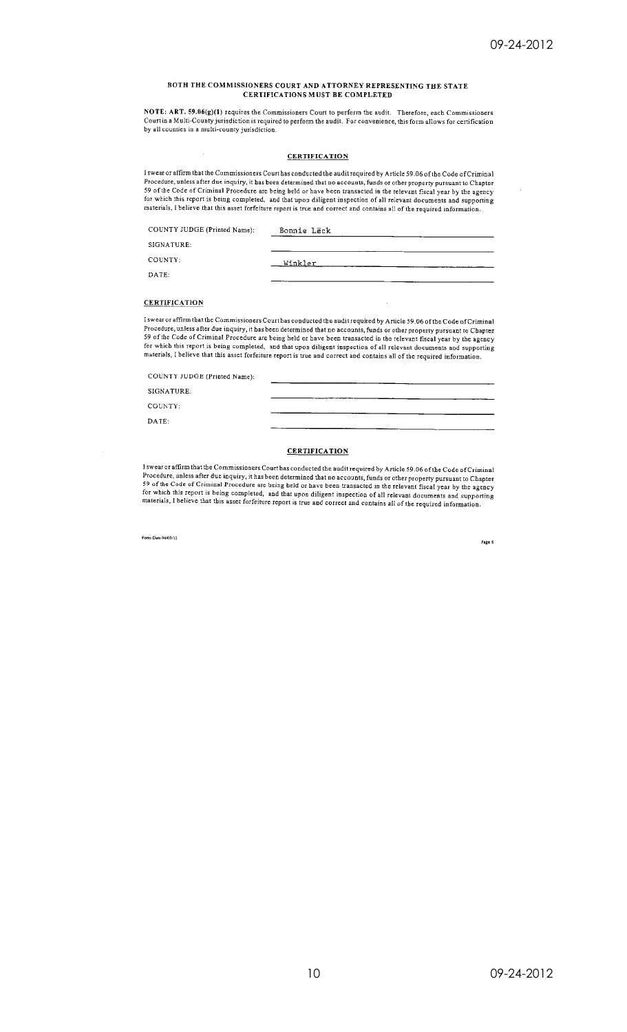#### BOTH THE COMMISSIONERS COURT AND ATTORNEY REPRESENTING THE STATE **CERTIFICATIONS MUST BE COMPLETED**

NOTE: ART. 59.06(g)(1) requires the Commissioners Court to perform the audit. Therefore, each Commissioners<br>Court in a Multi-County jurisdiction is required to perform the audit. For convenience, this form allows for certi by all counties in a multi-county jurisdiction.

#### **CERTIFICATION**

I swear or affirm that the Commissioners Court has conducted the audit required by Article 59.06 of the Code of Criminal Procedure, unless after due inquiry, it has been determined that no accounts, funds or other property pursuant to Chapter<br>Procedure, unless after due inquiry, it has been determined that no accounts, funds or other propert 39 of the Code of Criminal Procedure are being nera or have been transacted in the refevant sister by the agency<br>for which this report is being completed, and that upon diligent inspection of all relevant documents and sup

| COUNTY JUDGE (Printed Name); | Bonnie LEck |  |
|------------------------------|-------------|--|
| SIGNATURE:                   |             |  |
| COUNTY:                      | _Winkler    |  |
| DATE:                        | ___         |  |

### **CERTIFICATION**

I swear or affirm that the Commissioners Court has conducted the audit required by Article 59.06 of the Code of Criminal Procedure, unless after due inquiry, it has been determined that no accounts, funds or other property pursuant to Chapter<br>59 of the Code of Criminal Procedure are being held or have been transacted in the relevant fiscal y for which this report is being completed, and that upon diligent inspection of all relevant documents and supporting<br>materials, I believe that this asset forfeiture report is true and correct and contains all of the requir

COUNTY JUDGE (Printed Name):

SIGNATURE:

COUNTY:

DATE:

#### **CERTIFICATION**

I swear or affirm that the Commissioners Court has conducted the audit required by Article 59.06 of the Code of Criminal I swear or animal that the Commissioners Court has conqueted the audit required by Article 59.06 of the Coue of Criminal Procedure, inless after due inquiry, it has been determined that no accounts, funds or other property

Form Date 04/03/12

Page 6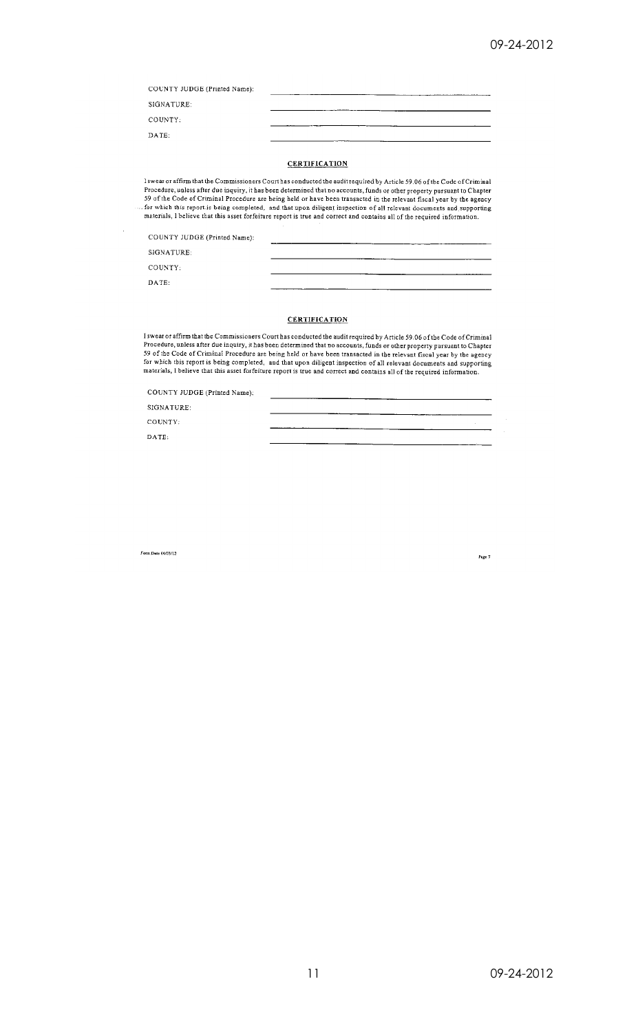| COUNTY JUDGE (Printed Name): |  |
|------------------------------|--|
| SIGNATURE:                   |  |
| COUNTY:                      |  |
| DATE:                        |  |

### **CERTIFICATION**

l swear or affirm that the Commissioners Court has conducted the audit required by Article 59.06 of the Code of Criminal<br>Procedure, unless after due inquiry, it has been determined that no accounts, funds or other property So of the Code of Criminal Procedure are being held or have been transacted in the relevant fiscal year by the agency<br>for which this report is being completed, and that upon diligent inspection of all relevant documents an

COUNTY JUDGE (Printed Name):

SIGNATURE:

COUNTY:

DATE:

### **CERTIFICATION**

I swear or affirm that the Commissioners Court has conducted the audit required by Article 59.06 of the Code of Criminal Procedure, unless after due inquiry, it has been determined that no accounts, funds or other property

COUNTY JUDGE (Printed Name):

SIGNATURE:

COUNTY:

 $DATA:$ 

Form Date 04/03/12

Page 7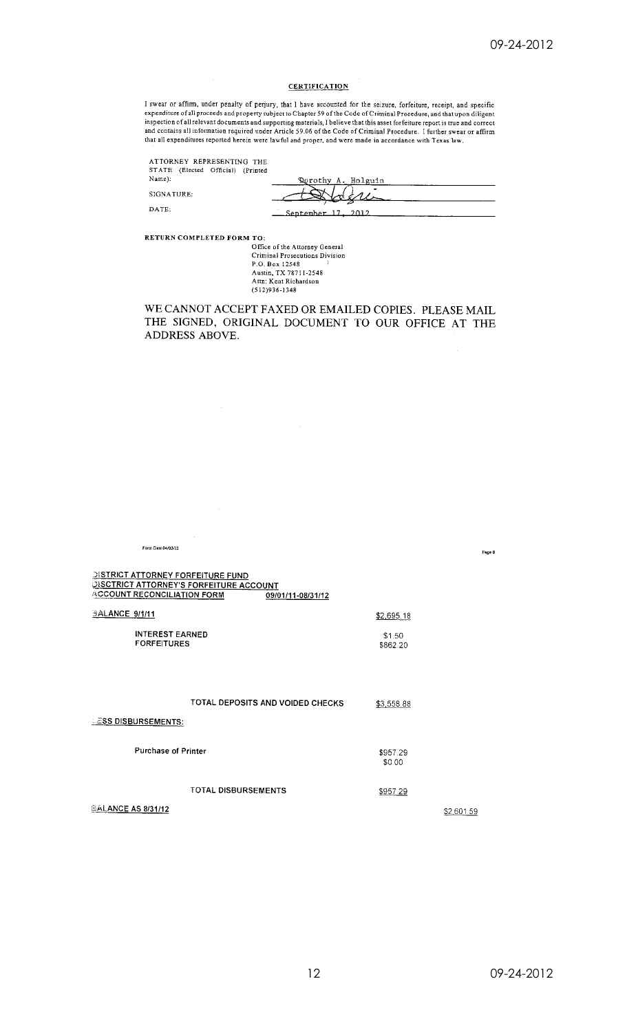### **CERTIFICATION**

I swear or affirm, under penalty of perjury, that I have accounted for the seizure, forfeiture, receipt, and specific<br>expenditure of all proceeds and property subject to Chapter 59 of the Code of Criminal Procedure, and th that all expenditures reported herein were lawful and proper, and were made in accordance with Texas law.

ATTORNEY REPRESENTING THE<br>STATE (Elected Official) (Printed  $\mathrm{Name})$  :

| ORIGILE (LIBICO |                    |
|-----------------|--------------------|
|                 | Rerothy A. Holguin |
|                 |                    |
|                 |                    |
|                 | September 17, 2012 |

RETURN COMPLETED FORM TO:

 $\hat{\boldsymbol{\beta}}$ 

SIGNATURE:  $\mathbf{DATE}$ 

> Office of the Attorney General<br>Criminal Prosecutions Division P.O. Box 12548<br>Austin, TX 78711-2548 Attn: Kent Richardson<br>(512)936-1348

WE CANNOT ACCEPT FAXED OR EMAILED COPIES. PLEASE MAIL THE SIGNED, ORIGINAL DOCUMENT TO OUR OFFICE AT THE ADDRESS ABOVE.

| Form Date 04/03/12                                                             |                                                                     |                    | Page 8     |
|--------------------------------------------------------------------------------|---------------------------------------------------------------------|--------------------|------------|
| <b>DISTRICT ATTORNEY FORFEITURE FUND</b><br><b>ACCOUNT RECONCILIATION FORM</b> | <b>DISCTRICT ATTORNEY'S FORFEITURE ACCOUNT</b><br>09/01/11-08/31/12 |                    |            |
| <b>BALANCE 9/1/11</b>                                                          |                                                                     | \$2,695.18         |            |
| <b>INTEREST EARNED</b><br><b>FORFEITURES</b>                                   |                                                                     | \$1.50<br>\$862.20 |            |
|                                                                                |                                                                     |                    |            |
|                                                                                | TOTAL DEPOSITS AND VOIDED CHECKS                                    | \$3,558.88         |            |
| <b>ESS DISBURSEMENTS:</b>                                                      |                                                                     |                    |            |
| <b>Purchase of Printer</b>                                                     |                                                                     | \$957.29<br>\$0.00 |            |
|                                                                                | <b>TOTAL DISBURSEMENTS</b>                                          | \$957.29           |            |
| <b>BALANCE AS 8/31/12</b>                                                      |                                                                     |                    | \$2,601.59 |

\$2,601.59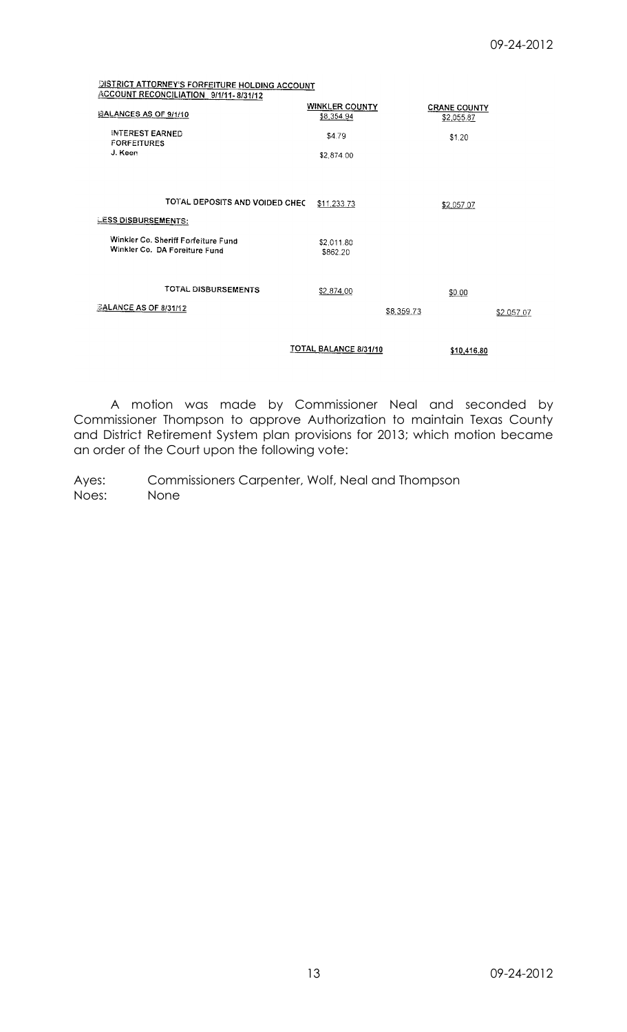# **DISTRICT ATTORNEY'S FORFEITURE HOLDING ACCOUNT ACCOUNT RECONCILIATION 9/1/11-8/31/12**

| <b>BALANCES AS OF 9/1/10</b>                                         | <b>WINKLER COUNTY</b><br>\$8,354.94 | <b>CRANE COUNTY</b><br>\$2,055.87 |            |
|----------------------------------------------------------------------|-------------------------------------|-----------------------------------|------------|
| <b>INTEREST EARNED</b><br><b>FORFEITURES</b>                         | \$4.79                              | \$1.20                            |            |
| J. Keen                                                              | \$2,874.00                          |                                   |            |
|                                                                      |                                     |                                   |            |
| TOTAL DEPOSITS AND VOIDED CHEC                                       | \$11,233.73                         | \$2,057.07                        |            |
| <b>LESS DISBURSEMENTS:</b>                                           |                                     |                                   |            |
| Winkler Co. Sheriff Forfeiture Fund<br>Winkler Co. DA Foreiture Fund | \$2,011.80<br>\$862.20              |                                   |            |
| TOTAL DISBURSEMENTS                                                  | \$2,874.00                          | \$0.00                            |            |
| <b>BALANCE AS OF 8/31/12</b>                                         |                                     | \$8,359.73                        | \$2.057.07 |
|                                                                      | TOTAL BALANCE 8/31/10               | \$10,416.80                       |            |

A motion was made by Commissioner Neal and seconded by Commissioner Thompson to approve Authorization to maintain Texas County and District Retirement System plan provisions for 2013; which motion became an order of the Court upon the following vote:

Ayes: Commissioners Carpenter, Wolf, Neal and Thompson Noes: None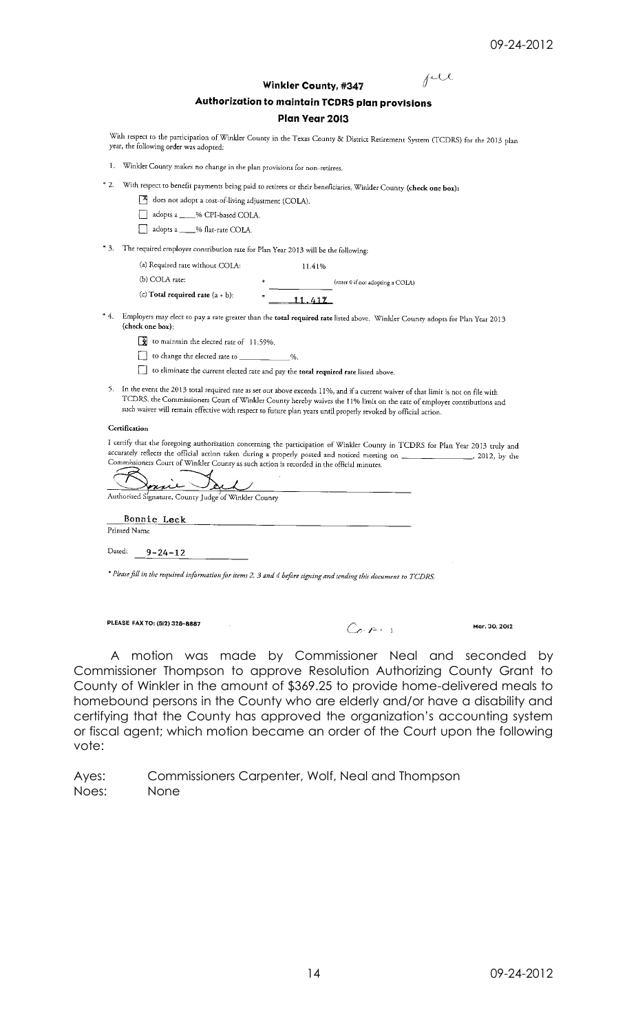## $f^{\text{ul}}$

| <b>Winkler County, #347</b>                     |  |
|-------------------------------------------------|--|
| Authorization to maintain TCDRS plan provisions |  |

### Plan Year 2013

With respect to the participation of Winkler County in the Texas County & District Retirement System (TCDRS) for the 2013 plan year, the following order was adopted:

- 1. Winkler County makes no change in the plan provisions for non-retirees.
- \* 2. With respect to benefit payments being paid to retirees or their beneficiaries, Winkler County (check one box):
	- does not adopt a cost-of-living adjustment (COLA).
	- adopts a \_\_\_\_% CPI-based COLA.
	- adopts a \_\_\_\_% flat-rate COLA.
- \* 3. The required employer contribution rate for Plan Year 2013 will be the following:

| (a) Required rate without COLA:     |   | 11.41%                           |
|-------------------------------------|---|----------------------------------|
| (b) COLA rate:                      |   | (enter 0 if not adopting a COLA) |
| (c) Total required rate $(a + b)$ : | = | $-11.412$                        |

- \* 4. Employers may elect to pay a rate greater than the total required rate listed above. Winkler County adopts for Plan Year 2013 (check one box):
	- to maintain the elected rate of 11.59%.
	- to change the elected rate to  $%$
	- to eliminate the current elected rate and pay the total required rate listed above.
- 5. In the event the 2013 total required rate as set out above exceeds 11%, and if a current waiver of that limit is not on file with TCDRS, the Commissioners Court of Winkler County hereby waives the 11% limit on the rate of employer contributions and such waiver will remain effective with respect to future plan years until properly revoked by official action.

#### Certification

I certify that the foregoing authorization concerning the participation of Winkler County in TCDRS for Plan Year 2013 truly and accurately reflects the official action taken during a properly posted and noticed meeting on . 2012. by the Commissioners Court of Winkler County as such action is recorded in the official minutes.

| mue<br>Authorized Signature, County Judge of Winkler County |  |
|-------------------------------------------------------------|--|
| Bonnie Leck<br>Printed Name                                 |  |
| Dated:<br>$9 - 24 - 12$                                     |  |

\* Please fill in the required information for items 2, 3 and 4 before signing and sending this document to TCDRS.

PLEASE FAX TO: (512) 328-8887

 $C_{\sigma}$  part is

Mar. 30, 2012

A motion was made by Commissioner Neal and seconded by Commissioner Thompson to approve Resolution Authorizing County Grant to County of Winkler in the amount of \$369.25 to provide home-delivered meals to homebound persons in the County who are elderly and/or have a disability and certifying that the County has approved the organization's accounting system or fiscal agent; which motion became an order of the Court upon the following vote:

Commissioners Carpenter, Wolf, Neal and Thompson Ayes: Noes: None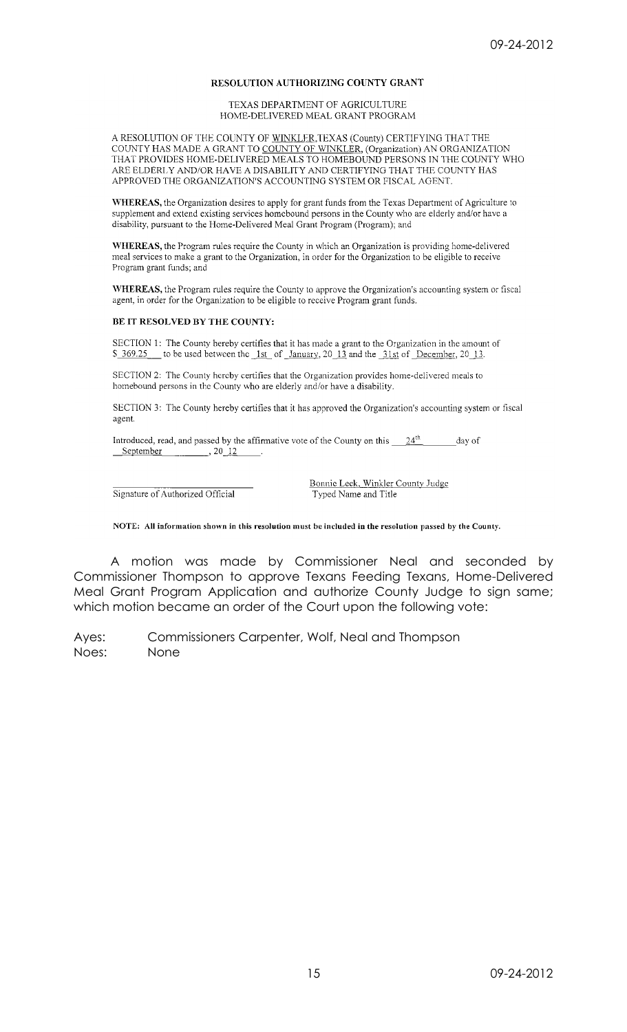### RESOLUTION AUTHORIZING COUNTY GRANT

TEXAS DEPARTMENT OF AGRICULTURE HOME-DELIVERED MEAL GRANT PROGRAM

A RESOLUTION OF THE COUNTY OF WINKLER, TEXAS (County) CERTIFYING THAT THE COUNTY HAS MADE A GRANT TO COUNTY OF WINKLER, (Organization) AN ORGANIZATION THAT PROVIDES HOME-DELIVERED MEALS TO HOMEBOUND PERSONS IN THE COUNTY WHO ARE ELDERLY AND/OR HAVE A DISABILITY AND CERTIFYING THAT THE COUNTY HAS APPROVED THE ORGANIZATION'S ACCOUNTING SYSTEM OR FISCAL AGENT.

WHEREAS, the Organization desires to apply for grant funds from the Texas Department of Agriculture to supplement and extend existing services homebound persons in the County who are elderly and/or have a disability, pursuant to the Home-Delivered Meal Grant Program (Program); and

WHEREAS, the Program rules require the County in which an Organization is providing home-delivered meal services to make a grant to the Organization, in order for the Organization to be eligible to receive Program grant funds; and

WHEREAS, the Program rules require the County to approve the Organization's accounting system or fiscal agent, in order for the Organization to be eligible to receive Program grant funds.

### BE IT RESOLVED BY THE COUNTY:

SECTION 1: The County bereby certifies that it has made a grant to the Organization in the amount of \$ 369.25 to be used between the 1st of January, 20 13 and the 31st of December, 20 13.

SECTION 2: The County hereby certifies that the Organization provides home-delivered meals to homebound persons in the County who are elderly and/or have a disability.

SECTION 3: The County hereby certifies that it has approved the Organization's accounting system or fiscal agent.

Introduced, read, and passed by the affirmative vote of the County on this  $\frac{24^{th}}{1}$ day of September  $, 20, 12$ 

Signature of Authorized Official

Bonnie Leck, Winkler County Judge Typed Name and Title

NOTE: All information shown in this resolution must be included in the resolution passed by the County.

A motion was made by Commissioner Neal and seconded by Commissioner Thompson to approve Texans Feeding Texans, Home-Delivered Meal Grant Program Application and authorize County Judge to sign same; which motion became an order of the Court upon the following vote:

Ayes: Commissioners Carpenter, Wolf, Neal and Thompson Noes: None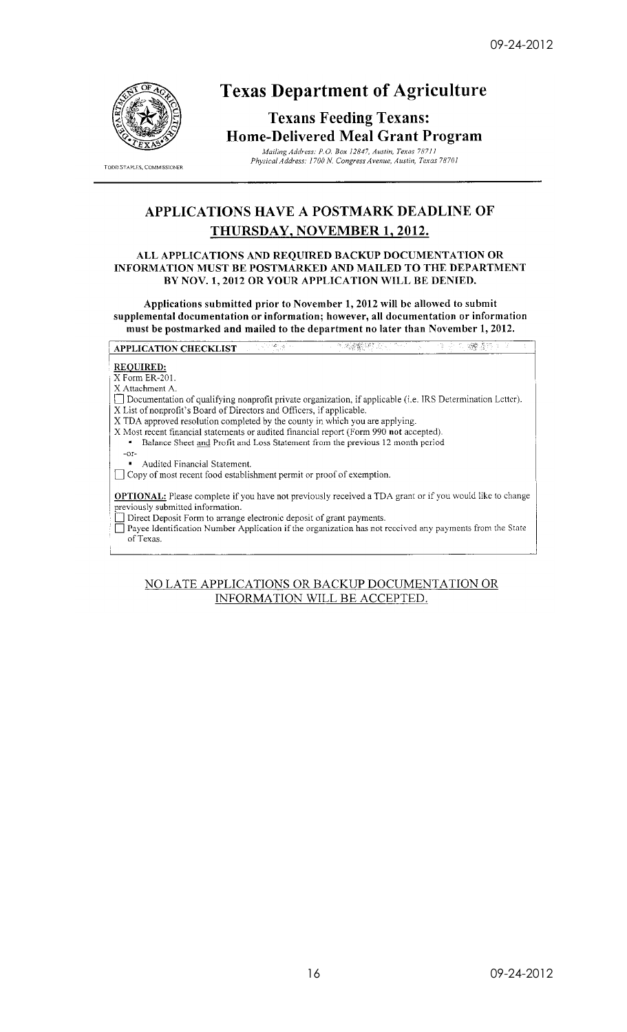

TODD STAPLES, COMMISSIONER

## **Texas Department of Agriculture**

## **Texans Feeding Texans: Home-Delivered Meal Grant Program**

Mailing Address: P.O. Box 12847, Austin, Texas 78711<br>Physical Address: P.O. Box 12847, Austin, Texas 78711

## **APPLICATIONS HAVE A POSTMARK DEADLINE OF** THURSDAY, NOVEMBER 1, 2012.

### ALL APPLICATIONS AND REQUIRED BACKUP DOCUMENTATION OR INFORMATION MUST BE POSTMARKED AND MAILED TO THE DEPARTMENT BY NOV. 1, 2012 OR YOUR APPLICATION WILL BE DENIED.

Applications submitted prior to November 1, 2012 will be allowed to submit supplemental documentation or information; however, all documentation or information must be postmarked and mailed to the department no later than November 1, 2012.

 $\mathbb{R}^n$ APPLICATION CHECKLIST ي: اللها 医心室

### **REQUIRED:**

X Form ER-201.

X Attachment A.

[7] Documentation of qualifying nonprofit private organization, if applicable (i.e. IRS Determination Letter). X List of nonprofit's Board of Directors and Officers, if applicable.

- X TDA approved resolution completed by the county in which you are applying.<br>X Most recent financial statements or audited financial report (Form 990 not accepted).
	- Balance Sheet and Profit and Loss Statement from the previous 12 month period

-or-Audited Financial Statement.

□ Copy of most recent food establishment permit or proof of exemption.

OPTIONAL: Please complete if you have not previously received a TDA grant or if you would like to change previously submitted information.

Direct Deposit Form to arrange electronic deposit of grant payments.

Payee Identification Number Application if the organization has not received any payments from the State of Texas.

## NO LATE APPLICATIONS OR BACKUP DOCUMENTATION OR INFORMATION WILL BE ACCEPTED.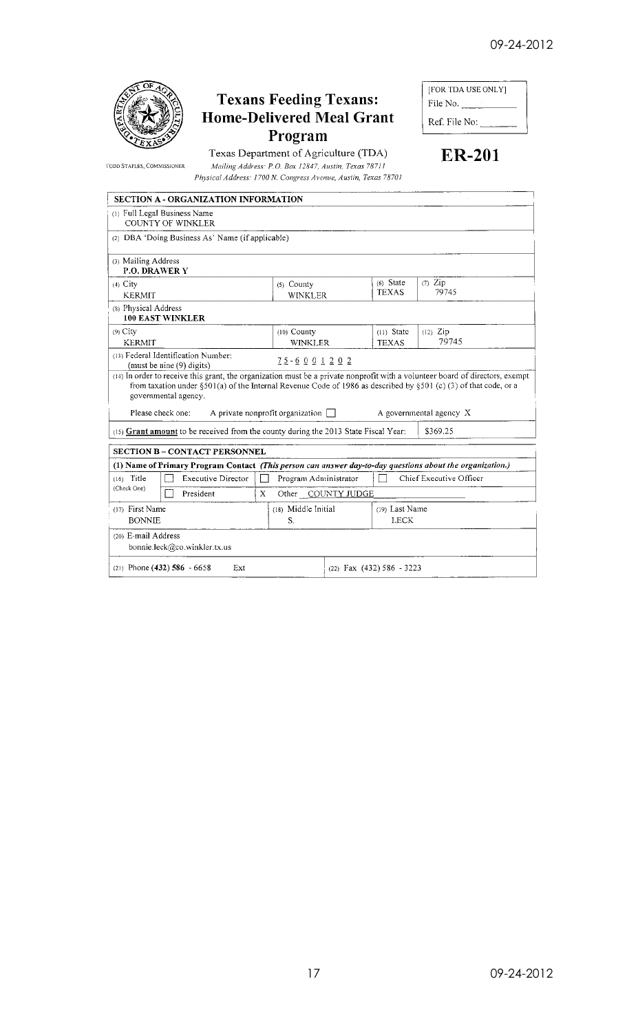

TODD STAPLES, COMMISSIONER

## **Texans Feeding Texans:** Home-Delivered Meal Grant Program

Texas Department of Agriculture (TDA) Mailing Address: P.O. Box 12847, Austin, Texas 78711 Physical Address: 1700 N. Congress Avenue, Austin, Texas 78701

| [FOR TDA USE ONLY] |
|--------------------|
| File No.           |
| Ref. File No:      |

**ER-201** 

| <b>SECTION A - ORGANIZATION INFORMATION</b>                                                                                                                                                                                                                               |                                                                                     |  |                              |                         |  |  |  |
|---------------------------------------------------------------------------------------------------------------------------------------------------------------------------------------------------------------------------------------------------------------------------|-------------------------------------------------------------------------------------|--|------------------------------|-------------------------|--|--|--|
| (1) Full Legal Business Name<br><b>COUNTY OF WINKLER</b>                                                                                                                                                                                                                  |                                                                                     |  |                              |                         |  |  |  |
| (2) DBA 'Doing Business As' Name (if applicable)                                                                                                                                                                                                                          |                                                                                     |  |                              |                         |  |  |  |
| (3) Mailing Address<br><b>P.O. DRAWER Y</b>                                                                                                                                                                                                                               |                                                                                     |  |                              |                         |  |  |  |
| $(4)$ City<br><b>KERMIT</b>                                                                                                                                                                                                                                               | $(7)$ Zip<br>$(6)$ State<br>$(5)$ County<br><b>TEXAS</b><br>79745<br><b>WINKLER</b> |  |                              |                         |  |  |  |
| (8) Physical Address<br><b>100 EAST WINKLER</b>                                                                                                                                                                                                                           |                                                                                     |  |                              |                         |  |  |  |
| $(9)$ City<br><b>KERMIT</b>                                                                                                                                                                                                                                               | $(10)$ County<br><b>WINKLER</b>                                                     |  | $(11)$ State<br><b>TEXAS</b> | $(12)$ Zip<br>79745     |  |  |  |
| (13) Federal Identification Number:<br>(must be nine (9) digits)                                                                                                                                                                                                          | $75 - 6001202$                                                                      |  |                              |                         |  |  |  |
| (14) In order to receive this grant, the organization must be a private nonprofit with a volunteer board of directors, exempt<br>from taxation under §501(a) of the Internal Revenue Code of 1986 as described by §501 (c) (3) of that code, or a<br>governmental agency. |                                                                                     |  |                              |                         |  |  |  |
| Please check one:                                                                                                                                                                                                                                                         | A private nonprofit organization $\Box$                                             |  |                              | A governmental agency X |  |  |  |
| (15) Grant amount to be received from the county during the 2013 State Fiscal Year:                                                                                                                                                                                       |                                                                                     |  |                              | \$369.25                |  |  |  |
| <b>SECTION B - CONTACT PERSONNEL</b>                                                                                                                                                                                                                                      |                                                                                     |  |                              |                         |  |  |  |
| (1) Name of Primary Program Contact (This person can answer day-to-day questions about the organization.)                                                                                                                                                                 |                                                                                     |  |                              |                         |  |  |  |
| $(16)$ Title<br><b>Executive Director</b>                                                                                                                                                                                                                                 | Program Administrator                                                               |  | Chief Executive Officer      |                         |  |  |  |
| (Check One)<br>President                                                                                                                                                                                                                                                  | Other COUNTY JUDGE<br>X                                                             |  |                              |                         |  |  |  |
| (17) First Name                                                                                                                                                                                                                                                           | (18) Middle Initial                                                                 |  | (19) Last Name               |                         |  |  |  |
| <b>BONNIE</b>                                                                                                                                                                                                                                                             | S.                                                                                  |  | <b>LECK</b>                  |                         |  |  |  |
| (20) E-mail Address<br>bonnie.leck@co.winkler.tx.us                                                                                                                                                                                                                       |                                                                                     |  |                              |                         |  |  |  |
| $(21)$ Phone (432) 586 - 6658<br>Ext<br>(22) Fax (432) 586 - 3223                                                                                                                                                                                                         |                                                                                     |  |                              |                         |  |  |  |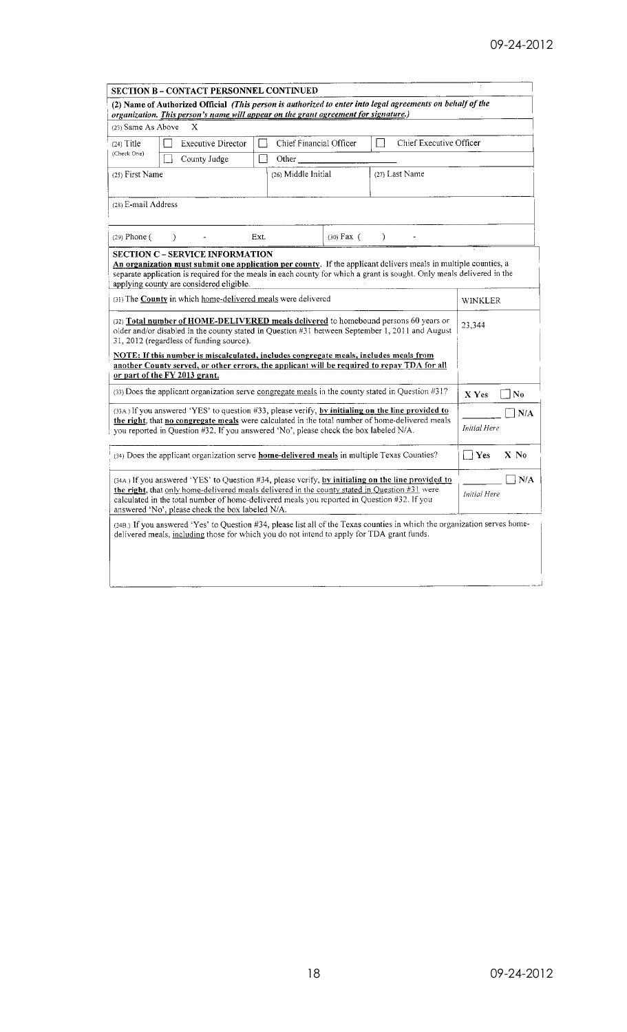|                                                                                                                                                                                                                                                                                                                                                        | <b>SECTION B - CONTACT PERSONNEL CONTINUED</b>                                                                                                                                                                                                                                                                                  |                     |                |                |                              |
|--------------------------------------------------------------------------------------------------------------------------------------------------------------------------------------------------------------------------------------------------------------------------------------------------------------------------------------------------------|---------------------------------------------------------------------------------------------------------------------------------------------------------------------------------------------------------------------------------------------------------------------------------------------------------------------------------|---------------------|----------------|----------------|------------------------------|
|                                                                                                                                                                                                                                                                                                                                                        | (2) Name of Authorized Official (This person is authorized to enter into legal agreements on behalf of the<br>organization. This person's name will appear on the grant agreement for signature.)                                                                                                                               |                     |                |                |                              |
| (23) Same As Above                                                                                                                                                                                                                                                                                                                                     | X                                                                                                                                                                                                                                                                                                                               |                     |                |                |                              |
| $(24)$ Title                                                                                                                                                                                                                                                                                                                                           | Chief Executive Officer                                                                                                                                                                                                                                                                                                         |                     |                |                |                              |
| (Check One)                                                                                                                                                                                                                                                                                                                                            | County Judge                                                                                                                                                                                                                                                                                                                    | Π<br>Other          |                |                |                              |
| (25) First Name                                                                                                                                                                                                                                                                                                                                        |                                                                                                                                                                                                                                                                                                                                 | (26) Middle Initial |                | (27) Last Name |                              |
| (28) E-mail Address                                                                                                                                                                                                                                                                                                                                    |                                                                                                                                                                                                                                                                                                                                 |                     |                |                |                              |
| $(29)$ Phone $($                                                                                                                                                                                                                                                                                                                                       | $\lambda$                                                                                                                                                                                                                                                                                                                       | Ext.                | $(30)$ Fax $($ | ℩              |                              |
|                                                                                                                                                                                                                                                                                                                                                        | <b>SECTION C – SERVICE INFORMATION</b><br>An organization must submit one application per county. If the applicant delivers meals in multiple counties, a<br>separate application is required for the meals in each county for which a grant is sought. Only meals delivered in the<br>applying county are considered eligible. |                     |                |                |                              |
| (31) The <b>County</b> in which home-delivered meals were delivered                                                                                                                                                                                                                                                                                    | <b>WINKLER</b>                                                                                                                                                                                                                                                                                                                  |                     |                |                |                              |
| (32) Total number of HOME-DELIVERED meals delivered to homebound persons 60 years or<br>older and/or disabled in the county stated in Question #31 between September 1, 2011 and August<br>31, 2012 (regardless of funding source).                                                                                                                    |                                                                                                                                                                                                                                                                                                                                 |                     |                |                | 23,344                       |
| NOTE: If this number is miscalculated, includes congregate meals, includes meals from<br>another County served, or other errors, the applicant will be required to repay TDA for all                                                                                                                                                                   |                                                                                                                                                                                                                                                                                                                                 |                     |                |                |                              |
|                                                                                                                                                                                                                                                                                                                                                        | or part of the FY 2013 grant.                                                                                                                                                                                                                                                                                                   |                     |                |                |                              |
|                                                                                                                                                                                                                                                                                                                                                        | $(33)$ Does the applicant organization serve congregate meals in the county stated in Question $#31$ ?                                                                                                                                                                                                                          |                     |                |                | No<br>X Yes                  |
| (33A.) If you answered 'YES' to question #33, please verify, by initialing on the line provided to<br>the right, that no congregate meals were calculated in the total number of home-delivered meals<br>you reported in Question #32. If you answered 'No', please check the box labeled N/A.                                                         |                                                                                                                                                                                                                                                                                                                                 |                     |                |                | ] N/A<br><b>Initial Here</b> |
| (34) Does the applicant organization serve home-delivered meals in multiple Texas Counties?                                                                                                                                                                                                                                                            |                                                                                                                                                                                                                                                                                                                                 |                     |                |                | Yes<br>$X$ No                |
| (34A.) If you answered 'YES' to Question #34, please verify, by initialing on the line provided to<br>the right, that only home-delivered meals delivered in the county stated in Question #31 were<br>calculated in the total number of home-delivered meals you reported in Question #32. If you<br>answered 'No', please check the box labeled N/A. |                                                                                                                                                                                                                                                                                                                                 |                     |                |                | N/A<br><b>Initial Here</b>   |
|                                                                                                                                                                                                                                                                                                                                                        | (34B.) If you answered 'Yes' to Question #34, please list all of the Texas counties in which the organization serves home-<br>delivered meals, including those for which you do not intend to apply for TDA grant funds.                                                                                                        |                     |                |                |                              |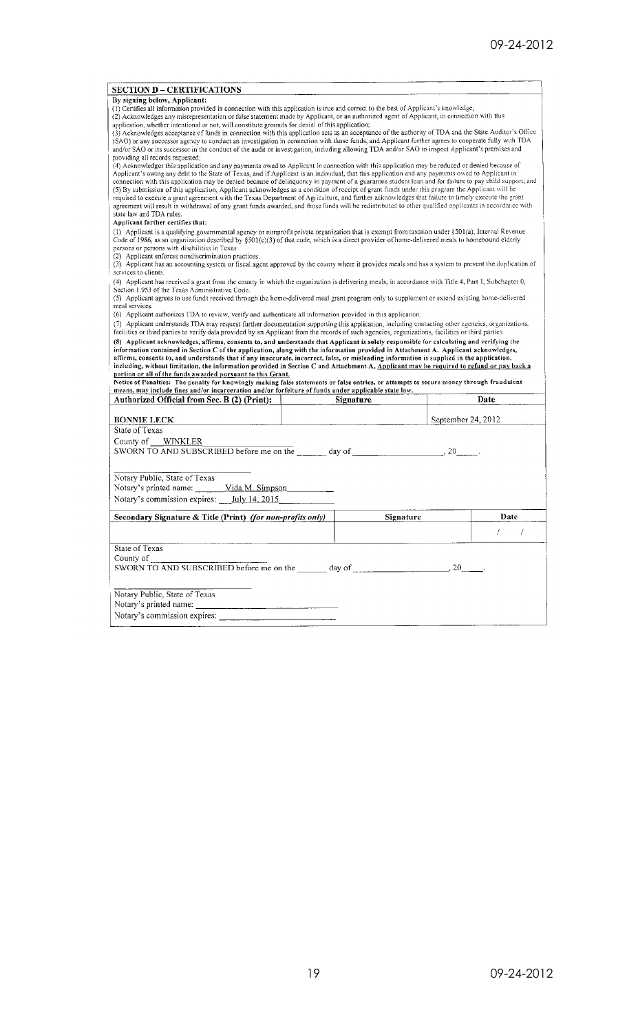| <b>SECTION D - CERTIFICATIONS</b>                                                                                                                                                                                                                                                                                                                                                                                                                                                                                                                                                                                                                                                                                                                                                                                                                                                                                                                                                                                                                                                                                                                                                                                                                                                                                                                                                                                                                                                                                                                                                                                                                                                                                                                                                                                                                       |           |           |                    |
|---------------------------------------------------------------------------------------------------------------------------------------------------------------------------------------------------------------------------------------------------------------------------------------------------------------------------------------------------------------------------------------------------------------------------------------------------------------------------------------------------------------------------------------------------------------------------------------------------------------------------------------------------------------------------------------------------------------------------------------------------------------------------------------------------------------------------------------------------------------------------------------------------------------------------------------------------------------------------------------------------------------------------------------------------------------------------------------------------------------------------------------------------------------------------------------------------------------------------------------------------------------------------------------------------------------------------------------------------------------------------------------------------------------------------------------------------------------------------------------------------------------------------------------------------------------------------------------------------------------------------------------------------------------------------------------------------------------------------------------------------------------------------------------------------------------------------------------------------------|-----------|-----------|--------------------|
| By signing below, Applicant:                                                                                                                                                                                                                                                                                                                                                                                                                                                                                                                                                                                                                                                                                                                                                                                                                                                                                                                                                                                                                                                                                                                                                                                                                                                                                                                                                                                                                                                                                                                                                                                                                                                                                                                                                                                                                            |           |           |                    |
| (1) Certifies all information provided in connection with this application is true and correct to the best of Applicant's knowledge;<br>(2) Acknowledges any misrepresentation or false statement made by Applicant, or an authorized agent of Applicant, in connection with this<br>application, whether intentional or not, will constitute grounds for denial of this application;<br>(3) Acknowledges acceptance of funds in connection with this application acts as an acceptance of the authority of TDA and the State Auditor's Office<br>(SAO) or any successor agency to conduct an investigation in connection with those funds, and Applicant further agrees to cooperate fully with TDA<br>and/or SAO or its successor in the conduct of the audit or investigation, including allowing TDA and/or SAO to inspect Applicant's premises and<br>providing all records requested:<br>(4) Acknowledges this application and any payments owed to Applicant in connection with this application may be reduced or denied because of<br>Applicant's owing any debt to the State of Texas, and if Applicant is an individual, that this application and any payments owed to Applicant in<br>connection with this application may be denied because of delinquency in payment of a guarantee student loan and for failure to pay child support; and<br>(5) By submission of this application, Applicant acknowledges as a condition of receipt of grant funds under this program the Applicant will be<br>required to execute a grant agreement with the Texas Department of Agriculture, and further acknowledges that failure to timely execute the grant<br>agreement will result in withdrawal of any grant funds awarded, and those funds will be redistributed to other qualified applicants in accordance with<br>state law and TDA rules. |           |           |                    |
| Applicant further certifies that:<br>(I) Applicant is a qualifying governmental agency or nonprofit private organization that is exempt from taxation under §501(a), Internal Revenue<br>Code of 1986, as an organization described by $\S501(c)(3)$ of that code, which is a direct provider of home-delivered meals to homebound elderly<br>persons or persons with disabilities in Texas.<br>(2) Applicant enforces nondiscrimination practices.<br>(3) Applicant has an accounting system or fiscal agent approved by the county where it provides meals and has a system to prevent the duplication of<br>services to clients.                                                                                                                                                                                                                                                                                                                                                                                                                                                                                                                                                                                                                                                                                                                                                                                                                                                                                                                                                                                                                                                                                                                                                                                                                     |           |           |                    |
| (4) Applicant has received a grant from the county in which the organization is delivering meals, in accordance with Title 4, Part 1, Subchapter 0,<br>Section 1.953 of the Texas Administrative Code.<br>(5) Applicant agrees to use funds received through the home-delivered meal grant program only to supplement or extend existing home-delivered<br>meal services.<br>(6) Applicant authorizes TDA to review, verify and authenticate all information provided in this application.                                                                                                                                                                                                                                                                                                                                                                                                                                                                                                                                                                                                                                                                                                                                                                                                                                                                                                                                                                                                                                                                                                                                                                                                                                                                                                                                                              |           |           |                    |
| (7) Applicant understands TDA may request further documentation supporting this application, including contacting other agencies, organizations.                                                                                                                                                                                                                                                                                                                                                                                                                                                                                                                                                                                                                                                                                                                                                                                                                                                                                                                                                                                                                                                                                                                                                                                                                                                                                                                                                                                                                                                                                                                                                                                                                                                                                                        |           |           |                    |
| facilities or third parties to verify data provided by an Applicant from the records of such agencies, organizations, facilities or third parties.<br>(8) Applicant acknowledges, affirms, consents to, and understands that Applicant is solely responsible for calculating and verifying the<br>information contained in Section C of the application, along with the information provided in Attachment A. Applicant acknowledges,                                                                                                                                                                                                                                                                                                                                                                                                                                                                                                                                                                                                                                                                                                                                                                                                                                                                                                                                                                                                                                                                                                                                                                                                                                                                                                                                                                                                                   |           |           |                    |
| affirms, consents to, and understands that if any inaccurate, incorrect, false, or misleading information is supplied in the application,<br>including, without limitation, the information provided in Section C and Attachment A, Applicant may be required to refund or pay back a<br>portion or all of the funds awarded pursuant to this Grant.<br>Notice of Penalties: The penalty for knowingly making false statements or false entries, or attempts to secure money through fraudulent<br>means, may include fines and/or incarceration and/or forfeiture of funds under applicable state law.                                                                                                                                                                                                                                                                                                                                                                                                                                                                                                                                                                                                                                                                                                                                                                                                                                                                                                                                                                                                                                                                                                                                                                                                                                                 |           |           |                    |
| Authorized Official from Sec. B (2) (Print):                                                                                                                                                                                                                                                                                                                                                                                                                                                                                                                                                                                                                                                                                                                                                                                                                                                                                                                                                                                                                                                                                                                                                                                                                                                                                                                                                                                                                                                                                                                                                                                                                                                                                                                                                                                                            | Signature |           | Date               |
|                                                                                                                                                                                                                                                                                                                                                                                                                                                                                                                                                                                                                                                                                                                                                                                                                                                                                                                                                                                                                                                                                                                                                                                                                                                                                                                                                                                                                                                                                                                                                                                                                                                                                                                                                                                                                                                         |           |           |                    |
| <b>BONNIE LECK</b><br>State of Texas                                                                                                                                                                                                                                                                                                                                                                                                                                                                                                                                                                                                                                                                                                                                                                                                                                                                                                                                                                                                                                                                                                                                                                                                                                                                                                                                                                                                                                                                                                                                                                                                                                                                                                                                                                                                                    |           |           | September 24, 2012 |
|                                                                                                                                                                                                                                                                                                                                                                                                                                                                                                                                                                                                                                                                                                                                                                                                                                                                                                                                                                                                                                                                                                                                                                                                                                                                                                                                                                                                                                                                                                                                                                                                                                                                                                                                                                                                                                                         |           |           |                    |
| SWORN TO AND SUBSCRIBED before me on the day of $\frac{1}{2}$ .                                                                                                                                                                                                                                                                                                                                                                                                                                                                                                                                                                                                                                                                                                                                                                                                                                                                                                                                                                                                                                                                                                                                                                                                                                                                                                                                                                                                                                                                                                                                                                                                                                                                                                                                                                                         |           |           |                    |
| Notary Public, State of Texas<br>Notary's printed name:<br>Vida M. Simpson                                                                                                                                                                                                                                                                                                                                                                                                                                                                                                                                                                                                                                                                                                                                                                                                                                                                                                                                                                                                                                                                                                                                                                                                                                                                                                                                                                                                                                                                                                                                                                                                                                                                                                                                                                              |           |           |                    |
|                                                                                                                                                                                                                                                                                                                                                                                                                                                                                                                                                                                                                                                                                                                                                                                                                                                                                                                                                                                                                                                                                                                                                                                                                                                                                                                                                                                                                                                                                                                                                                                                                                                                                                                                                                                                                                                         |           |           |                    |
| County of WINKLER<br>Notary's commission expires: July 14, 2015<br>Secondary Signature & Title (Print) (for non-profits only)                                                                                                                                                                                                                                                                                                                                                                                                                                                                                                                                                                                                                                                                                                                                                                                                                                                                                                                                                                                                                                                                                                                                                                                                                                                                                                                                                                                                                                                                                                                                                                                                                                                                                                                           |           | Signature | Date               |
|                                                                                                                                                                                                                                                                                                                                                                                                                                                                                                                                                                                                                                                                                                                                                                                                                                                                                                                                                                                                                                                                                                                                                                                                                                                                                                                                                                                                                                                                                                                                                                                                                                                                                                                                                                                                                                                         |           |           | 7                  |
| State of Texas                                                                                                                                                                                                                                                                                                                                                                                                                                                                                                                                                                                                                                                                                                                                                                                                                                                                                                                                                                                                                                                                                                                                                                                                                                                                                                                                                                                                                                                                                                                                                                                                                                                                                                                                                                                                                                          |           |           |                    |
| County of<br>SWORN TO AND SUBSCRIBED before me on the day of day of the state of the state of the state of the state of the state of the state of the state of the state of the state of the state of the state of the state of the state o                                                                                                                                                                                                                                                                                                                                                                                                                                                                                                                                                                                                                                                                                                                                                                                                                                                                                                                                                                                                                                                                                                                                                                                                                                                                                                                                                                                                                                                                                                                                                                                                             |           |           |                    |
| Notary Public, State of Texas<br>Notary's printed name:<br>Notary's commission expires:                                                                                                                                                                                                                                                                                                                                                                                                                                                                                                                                                                                                                                                                                                                                                                                                                                                                                                                                                                                                                                                                                                                                                                                                                                                                                                                                                                                                                                                                                                                                                                                                                                                                                                                                                                 |           |           |                    |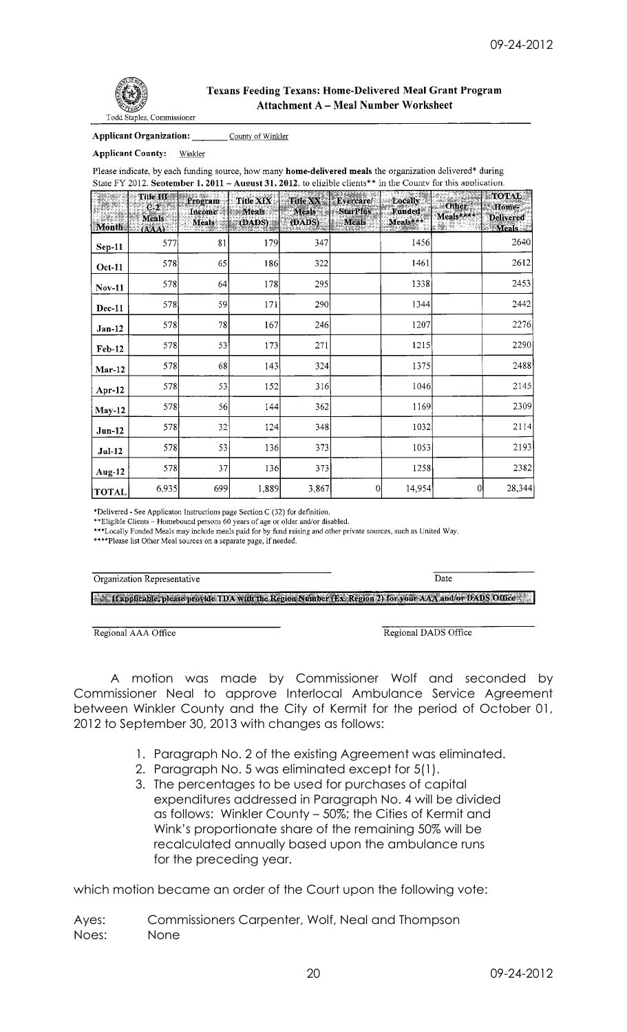

## **Texans Feeding Texans: Home-Delivered Meal Grant Program Attachment A - Meal Number Worksheet**

**Applicant Organization:** County of Winkler

**Applicant County:** Winkler

Please indicate, by each funding source, how many home-delivered meals the organization delivered\* during State FY 2012. September 1. 2011 - August 31. 2012. to eligible clients\*\* in the County for this application.

|               | Title III<br>C.2<br><b>Meals</b> | Program<br><b>Income of Meals</b><br>Meals | Title XIX<br>(DADS) | Title XX<br>Meals<br>(DADS): | Evercare<br><b>StarPlus</b><br><b>Meals</b> | Locally<br>Funded<br>Meals*** | <u>ALIKOVITIS</u><br>Other <sup>2</sup><br>Meals**** | TOTAL<br>Home-<br><b>Delivered</b> |
|---------------|----------------------------------|--------------------------------------------|---------------------|------------------------------|---------------------------------------------|-------------------------------|------------------------------------------------------|------------------------------------|
| <b>Month</b>  | (AAA)                            |                                            |                     |                              |                                             |                               |                                                      | <b>Meals</b>                       |
| $Sep-11$      | 577                              | 81                                         | 179                 | 347                          |                                             | 1456                          |                                                      | 2640                               |
| <b>Oct-11</b> | 578                              | 65                                         | 186                 | 322                          |                                             | 1461                          |                                                      | 2612                               |
| <b>Nov-11</b> | 578                              | 64                                         | 178                 | 295                          |                                             | 1338                          |                                                      | 2453                               |
| <b>Dec-11</b> | 578                              | 59                                         | 171                 | 290                          |                                             | 1344                          |                                                      | 2442                               |
| $Jan-12$      | 578                              | 78                                         | 167                 | 246                          |                                             | 1207                          |                                                      | 2276                               |
| <b>Feb-12</b> | 578                              | 53                                         | 173                 | 271                          |                                             | 1215                          |                                                      | 2290                               |
| $Mar-12$      | 578                              | 68                                         | 143                 | 324                          |                                             | 1375                          |                                                      | 2488                               |
| Apr $-12$     | 578                              | 53                                         | 152                 | 316                          |                                             | 1046                          |                                                      | 2145                               |
| $May-12$      | 578                              | 56                                         | 144                 | 362                          |                                             | 1169                          |                                                      | 2309                               |
| $Jun-12$      | 578                              | 32                                         | 124                 | 348                          |                                             | 1032                          |                                                      | 2114                               |
| $Jul-12$      | 578                              | 53                                         | 136                 | 373                          |                                             | 1053                          |                                                      | 2193                               |
| Aug-12        | 578                              | 37                                         | 136                 | 373                          |                                             | 1258                          |                                                      | 2382                               |
| <b>TOTAL</b>  | 6,935                            | 699                                        | 1,889               | 3,867                        | $\theta$                                    | 14,954                        | $\overline{0}$                                       | 28,344                             |

\*Delivered - See Applicaton Instructions page Section C (32) for definition.

**Exercise - See Applicator instructions page Section C (52) for detinition.**<br>\*\*Eligible Clients – Homebound persons 60 years of age or older and/or disabled.<br>\*\*\*Locally Funded Meals may include meals paid for by fund rais

\*\*\*\*Please list Other Meal sources on a separate page, if needed.

Organization Representative

K Happlicable, please provide TDA with the Region Number (Ex Region 2) for your AAA and/or DADS Office

Date

Regional AAA Office

Regional DADS Office

A motion was made by Commissioner Wolf and seconded by Commissioner Neal to approve Interlocal Ambulance Service Agreement between Winkler County and the City of Kermit for the period of October 01, 2012 to September 30, 2013 with changes as follows:

- 1. Paragraph No. 2 of the existing Agreement was eliminated.
- 2. Paragraph No. 5 was eliminated except for 5(1).
- 3. The percentages to be used for purchases of capital expenditures addressed in Paragraph No. 4 will be divided as follows: Winkler County – 50%; the Cities of Kermit and Wink's proportionate share of the remaining 50% will be recalculated annually based upon the ambulance runs for the preceding year.

which motion became an order of the Court upon the following vote:

Ayes: Commissioners Carpenter, Wolf, Neal and Thompson Noes: None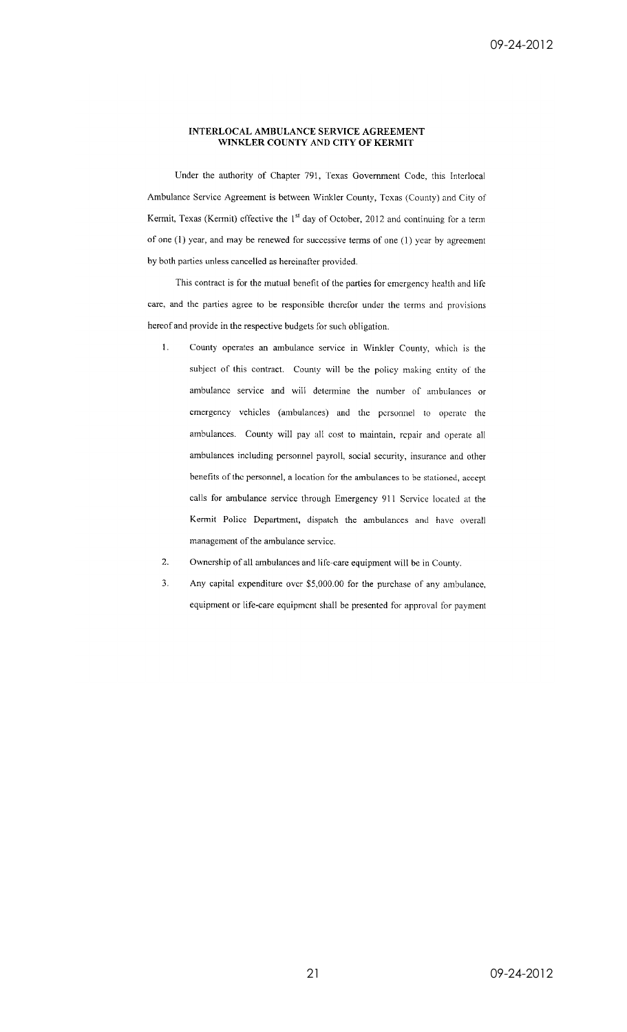### INTERLOCAL AMBULANCE SERVICE AGREEMENT WINKLER COUNTY AND CITY OF KERMIT

Under the authority of Chapter 791, Texas Government Code, this Interlocal Ambulance Service Agreement is between Winkler County, Texas (County) and City of Kermit, Texas (Kermit) effective the 1<sup>st</sup> day of October, 2012 and continuing for a term of one (1) year, and may be renewed for successive terms of one (1) year by agreement by both parties unless cancelled as hereinafter provided.

This contract is for the mutual benefit of the parties for emergency health and life care, and the parties agree to be responsible therefor under the terms and provisions hereof and provide in the respective budgets for such obligation.

- $1.$ County operates an ambulance service in Winkler County, which is the subject of this contract. County will be the policy making entity of the ambulance service and will determine the number of ambulances or emergency vehicles (ambulances) and the personnel to operate the ambulances. County will pay all cost to maintain, repair and operate all ambulances including personnel payroll, social security, insurance and other benefits of the personnel, a location for the ambulances to be stationed, accept calls for ambulance service through Emergency 911 Service located at the Kermit Police Department, dispatch the ambulances and have overall management of the ambulance service.
- 2. Ownership of all ambulances and life-care equipment will be in County.
- $\overline{3}$ . Any capital expenditure over \$5,000.00 for the purchase of any ambulance, equipment or life-care equipment shall be presented for approval for payment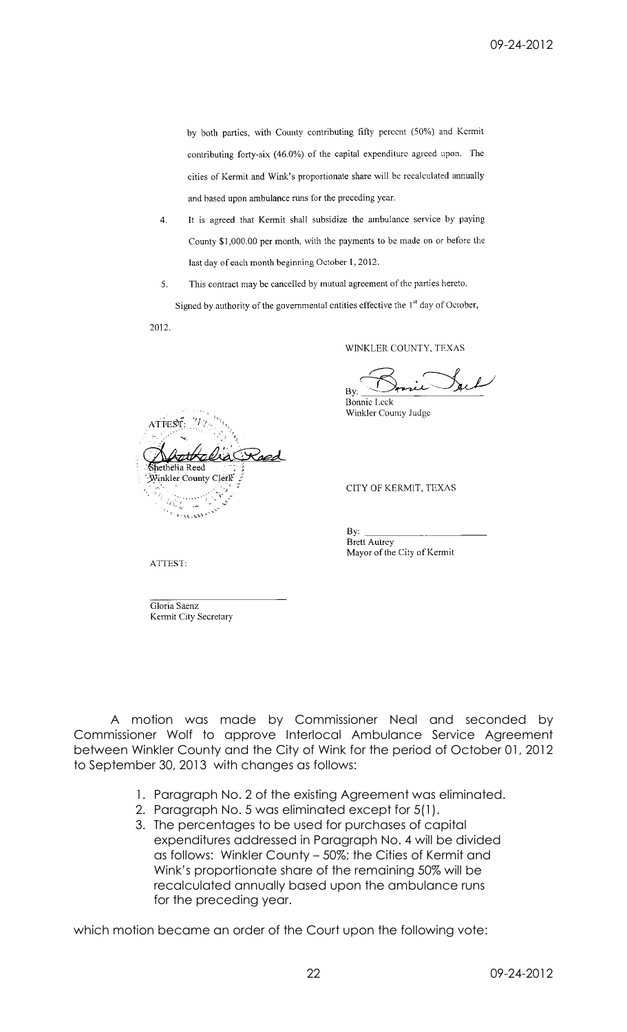by both parties, with County contributing fifty percent (50%) and Kermit contributing forty-six (46.0%) of the capital expenditure agreed upon. The cities of Kermit and Wink's proportionate share will be recalculated annually and based upon ambulance runs for the preceding year.

- 4. It is agreed that Kermit shall subsidize the ambulance service by paying County \$1,000.00 per month, with the payments to be made on or before the last day of each month beginning October 1, 2012.
- This contract may be cancelled by mutual agreement of the parties hereto. 5.

Signed by authority of the governmental entities effective the 1<sup>st</sup> day of October, 2012.

ATTEST: Winkler County Ť.

WINKLER COUNTY, TEXAS

By: **Bonnie Leck** 

Winkler County Judge

CITY OF KERMIT, TEXAS

By: Brett Autrey Mayor of the City of Kermit

ATTEST:

Gloria Saenz Kermit City Secretary

A motion was made by Commissioner Neal and seconded by Commissioner Wolf to approve Interlocal Ambulance Service Agreement between Winkler County and the City of Wink for the period of October 01, 2012 to September 30, 2013 with changes as follows:

- 1. Paragraph No. 2 of the existing Agreement was eliminated.
- 2. Paragraph No. 5 was eliminated except for 5(1).
- 3. The percentages to be used for purchases of capital expenditures addressed in Paragraph No. 4 will be divided as follows: Winkler County – 50%; the Cities of Kermit and Wink's proportionate share of the remaining 50% will be recalculated annually based upon the ambulance runs for the preceding year.

which motion became an order of the Court upon the following vote: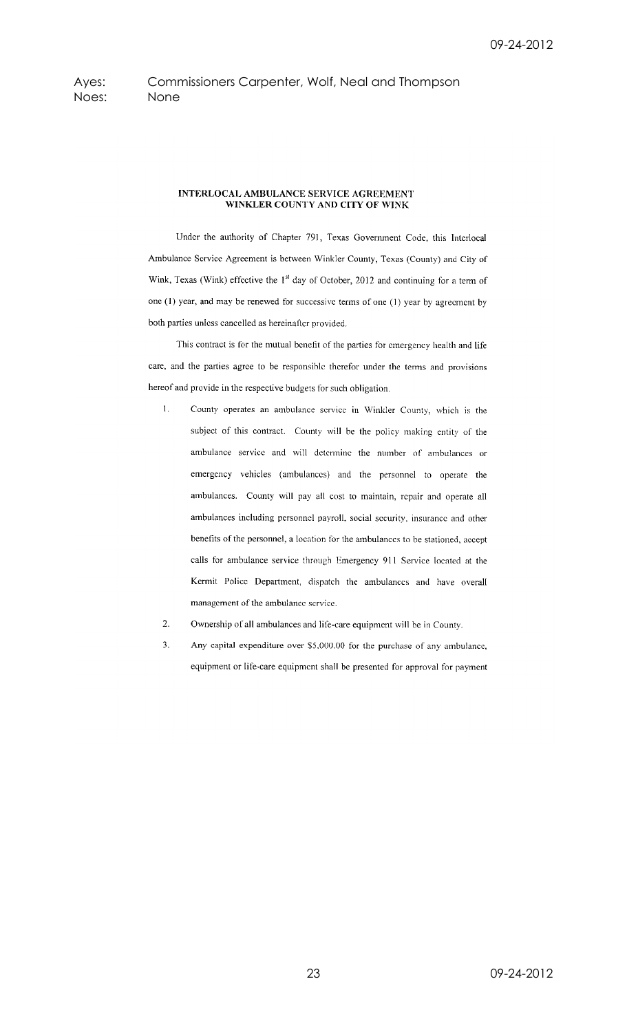Ayes: Commissioners Carpenter, Wolf, Neal and Thompson Noes: None

### **INTERLOCAL AMBULANCE SERVICE AGREEMENT** WINKLER COUNTY AND CITY OF WINK

Under the authority of Chapter 791, Texas Government Code, this Interlocal Ambulance Service Agreement is between Winkler County, Texas (County) and City of Wink, Texas (Wink) effective the 1<sup>st</sup> day of October, 2012 and continuing for a term of one (1) year, and may be renewed for successive terms of one (1) year by agreement by both parties unless cancelled as hereinafter provided.

This contract is for the mutual benefit of the parties for emergency health and life care, and the parties agree to be responsible therefor under the terms and provisions hereof and provide in the respective budgets for such obligation.

- $1.$ County operates an ambulance service in Winkler County, which is the subject of this contract. County will be the policy making entity of the ambulance service and will determine the number of ambulances or emergency vehicles (ambulances) and the personnel to operate the ambulances. County will pay all cost to maintain, repair and operate all ambulances including personnel payroll, social security, insurance and other benefits of the personnel, a location for the ambulances to be stationed, accept calls for ambulance service through Emergency 911 Service located at the Kermit Police Department, dispatch the ambulances and have overall management of the ambulance service.
- Ownership of all ambulances and life-care equipment will be in County. 2.
- Any capital expenditure over \$5,000.00 for the purchase of any ambulance,  $3.$ equipment or life-care equipment shall be presented for approval for payment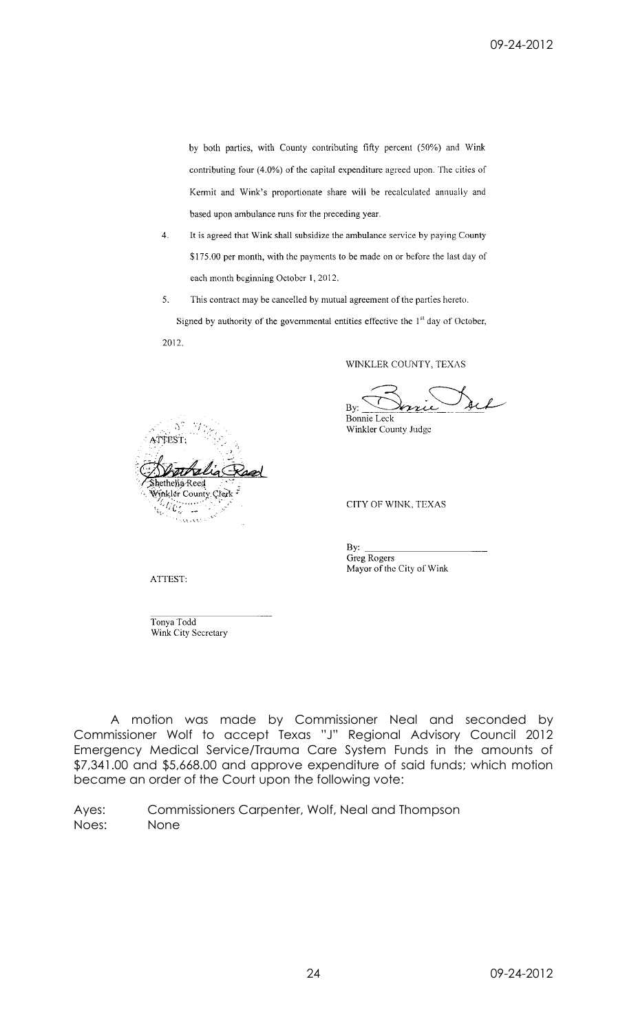by both parties, with County contributing fifty percent (50%) and Wink contributing four (4.0%) of the capital expenditure agreed upon. The cities of Kermit and Wink's proportionate share will be recalculated annually and based upon ambulance runs for the preceding year.

- $4.$ It is agreed that Wink shall subsidize the ambulance service by paying County \$175.00 per month, with the payments to be made on or before the last day of each month beginning October 1, 2012.
- 5. This contract may be cancelled by mutual agreement of the parties hereto.

Signed by authority of the governmental entities effective the 1<sup>st</sup> day of October, 2012.

thelia Reed inkler County Clerk li Cr

WINKLER COUNTY, TEXAS

 $By:$ 

Bonnie Leck Winkler County Judge

**CITY OF WINK, TEXAS** 

By: Greg Rogers Mayor of the City of Wink

ATTEST:

Tonya Todd Wink City Secretary

A motion was made by Commissioner Neal and seconded by Commissioner Wolf to accept Texas "J" Regional Advisory Council 2012 Emergency Medical Service/Trauma Care System Funds in the amounts of \$7,341.00 and \$5,668.00 and approve expenditure of said funds; which motion became an order of the Court upon the following vote:

Ayes: Commissioners Carpenter, Wolf, Neal and Thompson Noes: None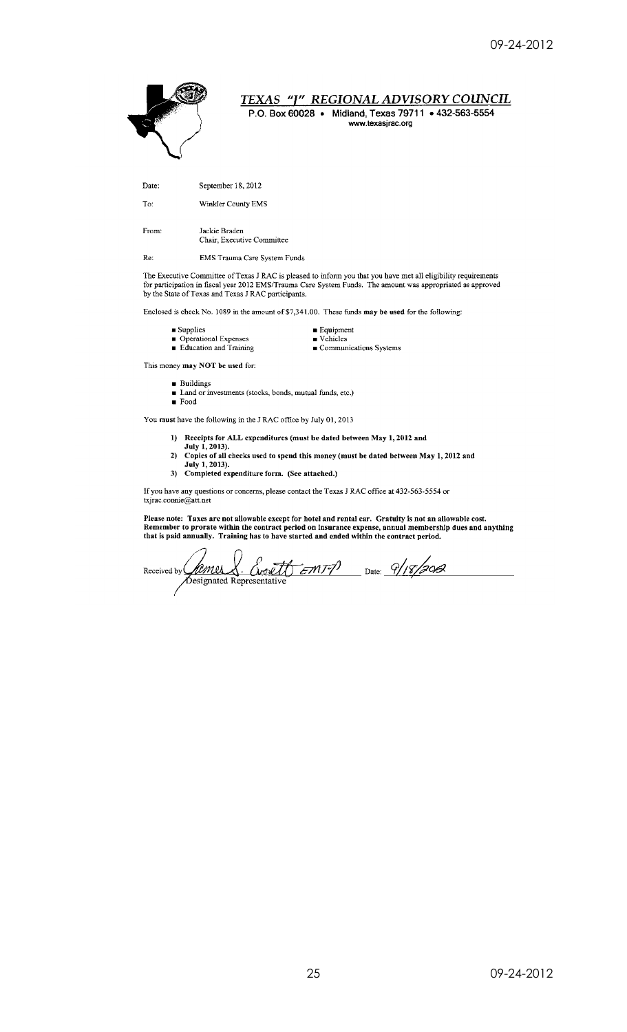

for participation in fiscal year 2012 EMS/Trauma Care System Funds. The amount was appropriated as approved by the State of Texas and Texas J RAC participants.

 $\blacksquare$  Equipment

Enclosed is check No. 1089 in the amount of \$7,341,00. These funds may be used for the following:

- $\blacksquare$  Supplies
- Operational Expenses<br>• Education and Training
	-

 $\blacksquare$  Vehicles  $\blacksquare$  Communications Systems

This money may NOT be used for:

**Buildings** 

Land or investments (stocks, bonds, mutual funds, etc.)

 $\blacksquare$  Food

You must have the following in the J RAC office by July 01, 2013

- 1) Receipts for ALL expenditures (must be dated between May 1, 2012 and
- July 1, 2013). 2) Copies of all checks used to spend this money (must be dated between May 1, 2012 and
- July 1, 2013). 3) Completed expenditure form. (See attached.)

If you have any questions or concerns, please contact the Texas J RAC office at 432-563-5554 or txjrac.connie@att.net

Please note: Taxes are not allowable except for hotel and rental car. Gratuity is not an allowable cost.<br>Remember to prorate within the contract period on insurance expense, annual membership dues and anything that is paid annually. Training has to have started and ended within the contract period.

Date: 9/18/2012 <u>& Creett Emry</u> <u>famer</u> Received by  $\overline{\mathsf{C}}$ Designated Representative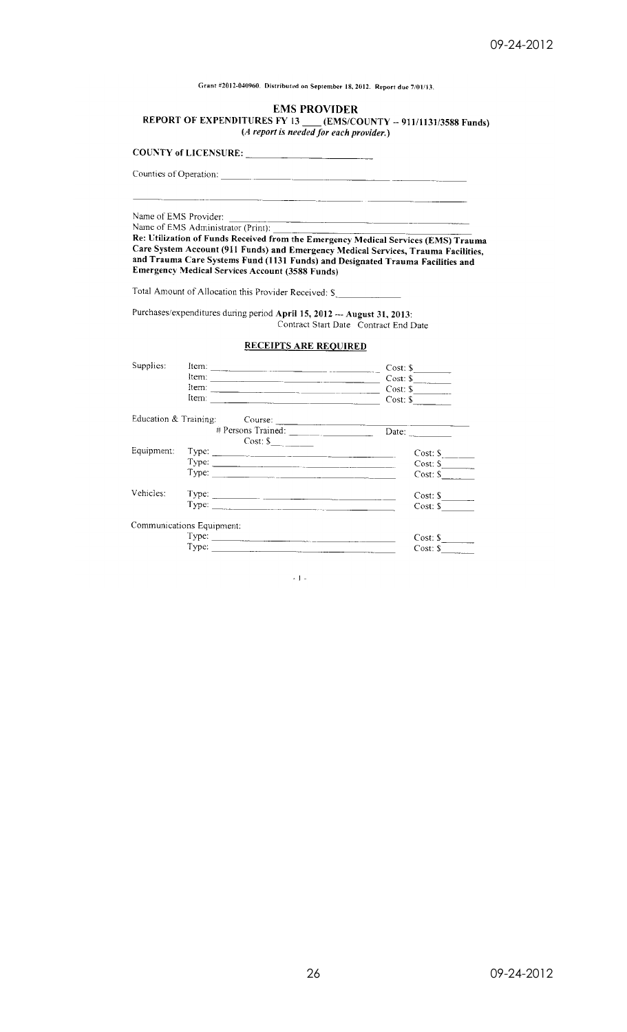Grant #2012-040960. Distributed on September 18, 2012. Report due 7/01/13.

### **EMS PROVIDER**

REPORT OF EXPENDITURES FY 13 (EMS/COUNTY -- 911/1131/3588 Funds)<br>(A report is needed for each provider.)

**COUNTY of LICENSURE:** 

Counties of Operation:

Name of EMS Provider:

Name of EMS Administrator (Print):

Name of EMS Administrator (Print):<br>
Re: Utilization of Funds Received from the Emergency Medical Services (EMS) Trauma<br>
Care System Account (911 Funds) and Emergency Medical Services, Trauma Facilities,<br>
and Trauma Care Sy

Total Amount of Allocation this Provider Received: S

Purchases/expenditures during period April 15, 2012 - August 31, 2013: Contract Start Date Contract End Date

### **RECEIPTS ARE REQUIRED**

| Supplies:  | Item:                                                                                                                                                                                                                                                                                                                                                                                                         | Cost:               |
|------------|---------------------------------------------------------------------------------------------------------------------------------------------------------------------------------------------------------------------------------------------------------------------------------------------------------------------------------------------------------------------------------------------------------------|---------------------|
|            | ltem:                                                                                                                                                                                                                                                                                                                                                                                                         | $Cost: \S$          |
|            | Item:                                                                                                                                                                                                                                                                                                                                                                                                         | $Cost: $ \_$        |
|            | Item:                                                                                                                                                                                                                                                                                                                                                                                                         | $Cost:$ \$          |
|            |                                                                                                                                                                                                                                                                                                                                                                                                               |                     |
|            |                                                                                                                                                                                                                                                                                                                                                                                                               | Date: $\frac{1}{2}$ |
|            | $Cost:$ $\underline{\S}$                                                                                                                                                                                                                                                                                                                                                                                      |                     |
| Equipment: |                                                                                                                                                                                                                                                                                                                                                                                                               | Cost: S             |
|            | Type: $\frac{1}{\sqrt{1-\frac{1}{2}}\sqrt{1-\frac{1}{2}}\sqrt{1-\frac{1}{2}}\sqrt{1-\frac{1}{2}}\sqrt{1-\frac{1}{2}}\sqrt{1-\frac{1}{2}}\sqrt{1-\frac{1}{2}}\sqrt{1-\frac{1}{2}}\sqrt{1-\frac{1}{2}}\sqrt{1-\frac{1}{2}}\sqrt{1-\frac{1}{2}}\sqrt{1-\frac{1}{2}}\sqrt{1-\frac{1}{2}}\sqrt{1-\frac{1}{2}}\sqrt{1-\frac{1}{2}}\sqrt{1-\frac{1}{2}}\sqrt{1-\frac{1}{2}}\sqrt{1-\frac{1}{2}}\sqrt{1-\frac{1}{2}}$ | $Cost: S_1$         |
|            | Type:                                                                                                                                                                                                                                                                                                                                                                                                         | Cost: S             |
| Vehicles:  |                                                                                                                                                                                                                                                                                                                                                                                                               | $Cost:$ \$          |
|            |                                                                                                                                                                                                                                                                                                                                                                                                               | $Cost:$ S           |
|            | Communications Equipment:                                                                                                                                                                                                                                                                                                                                                                                     |                     |
|            |                                                                                                                                                                                                                                                                                                                                                                                                               | $Cost:$ S           |
|            | Type:                                                                                                                                                                                                                                                                                                                                                                                                         | $Cost:$ \$          |

 $\sim 1$   $-$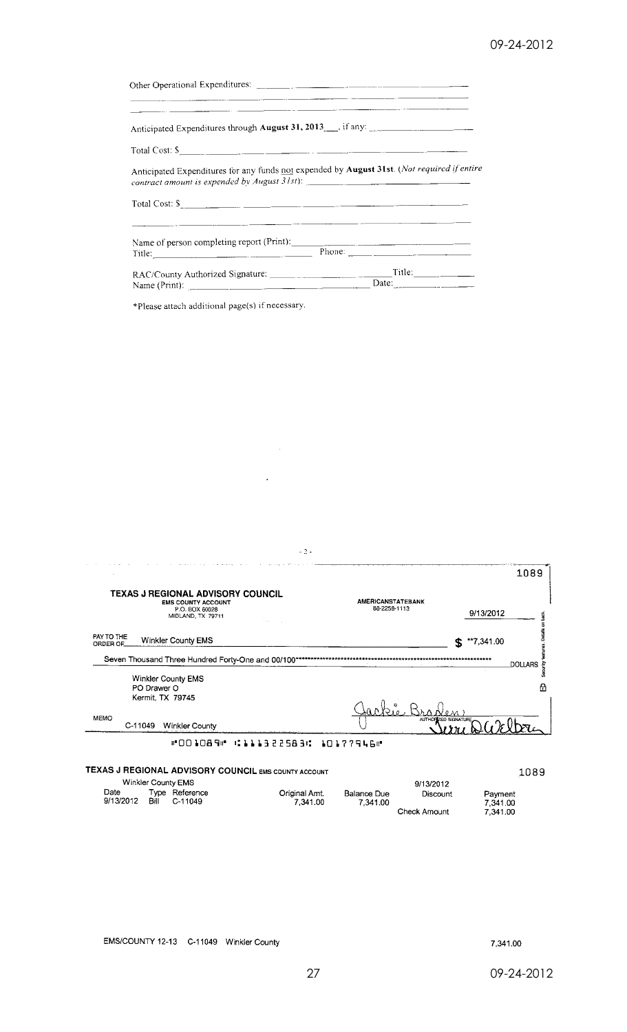| <u> - Jan Lander (1986), som et al. 1989 i statistiker og statistiker og statistiker og statistiker og statistiker og s</u>                                                                                                                                                                                                |
|----------------------------------------------------------------------------------------------------------------------------------------------------------------------------------------------------------------------------------------------------------------------------------------------------------------------------|
| <u> 1940 - Jan James Alexander, mensk politiker og en som andre skale og en som andre skale og en som andre skale</u><br>Anticipated Expenditures through August 31, 2013 Fig. 1 any:                                                                                                                                      |
| Total Cost: $\mathsf{S}$                                                                                                                                                                                                                                                                                                   |
| Anticipated Expenditures for any funds not expended by August 31st. (Not required if entire<br>contract amount is expended by August 31st): ___________________________________                                                                                                                                            |
| Total Cost: $\mathcal{S}_{\text{max}}$ and $\text{max}$ and $\text{max}$ and $\text{max}$ and $\text{max}$ and $\text{max}$ and $\text{max}$ and $\text{max}$ and $\text{max}$ and $\text{max}$ and $\text{max}$ and $\text{max}$ and $\text{max}$ and $\text{max}$ and $\text{max}$ and $\text{max}$ and $\text{max}$ and |
|                                                                                                                                                                                                                                                                                                                            |
|                                                                                                                                                                                                                                                                                                                            |

 $\sim$   $\sim$ 

 $\hat{\boldsymbol{\epsilon}}$ 

\*Please attach additional page(s) if necessary.

| $-2-$                                                                                                                          |                                          |        |
|--------------------------------------------------------------------------------------------------------------------------------|------------------------------------------|--------|
| TEXAS J REGIONAL ADVISORY COUNCIL<br><b>EMS COUNTY ACCOUNT</b><br>P.O. BOX 60028                                               | <b>AMERICANSTATEBANK</b><br>88-2258-1113 | 1089   |
| MIDLAND, TX 79711<br>PAY TO THE<br><b>Winkler County EMS</b><br>ORDER OF<br>Seven Thousand Three Hundred Forty-One and 00/100* | 9/13/2012<br>$$^{**}7,341.00$            |        |
| <b>Winkler County EMS</b><br>PO Drawer O<br>Kermit, TX 79745                                                                   | <b>DOLLARS</b>                           | 8<br>A |
| <b>MEMO</b><br>C-11049<br>Winkler County                                                                                       | AUTHORIZED SIGNATURE.                    |        |
| ™001089⊮<br><b>.</b> 3 2 2 5 8 3 1 .                                                                                           | 101779460                                |        |
| TEXAS J REGIONAL ADVISORY COUNCIL EMS COUNTY ACCOUNT                                                                           |                                          | 1089   |

|                   |      |                           |                           |                         |              | ----                |  |
|-------------------|------|---------------------------|---------------------------|-------------------------|--------------|---------------------|--|
|                   |      | Winkler County EMS        |                           |                         | 9/13/2012    |                     |  |
| Date<br>9/13/2012 | Bill | Type Reference<br>C-11049 | Original Amt.<br>7.341.00 | Balance Due<br>7.341.00 | Discount     | Payment<br>7.341.00 |  |
|                   |      |                           |                           |                         | Check Amount | 7.341.00            |  |

EMS/COUNTY 12-13 C-11049 Winkler County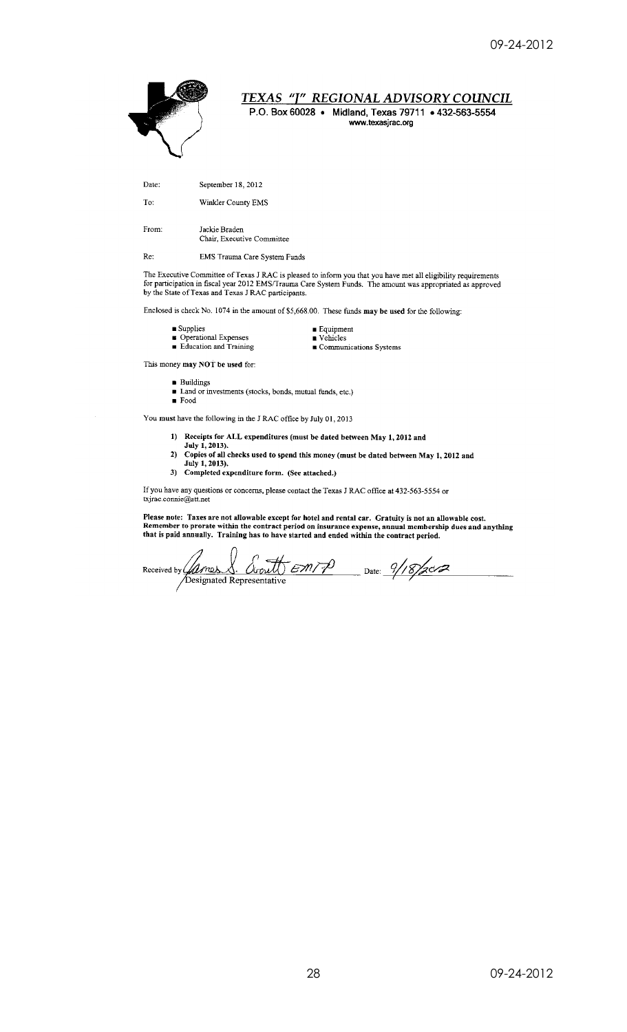

TEXAS "J" REGIONAL ADVISORY COUNCIL

P.O. Box 60028 · Midland, Texas 79711 · 432-563-5554 www.texasjrac.org

Date: September 18, 2012

To: Winkler County EMS

From: Jackie Braden Chair. Executive Committee

Re: EMS Trauma Care System Funds

The Executive Committee of Texas J RAC is pleased to inform you that you have met all eligibility requirements for participation in fiscal year 2012 EMS/Trauma Care System Funds. The amount was appropriated as approved by

Enclosed is check No. 1074 in the amount of \$5,668.00. These funds may be used for the following:

- $\blacksquare$  <br> Supplies
- Operational Expenses<br>• Education and Training

 $\blacksquare$  <br> Equipment  $\blacksquare$  <br> Vehicles  $\blacksquare$  Communications Systems

This money may NOT be used for:

 $\quad \blacksquare$  Buildings  $\blacksquare$  Land or investments (stocks, bonds, mutual funds, etc.)

 $\blacksquare$  Food

You must have the following in the J RAC office by July 01, 2013

- 1) Receipts for ALL expenditures (must be dated between May 1, 2012 and July 1, 2013).
- 2) Copies of all checks used to spend this money (must be dated between May 1, 2012 and July 1, 2013).
- 3) Completed expenditure form. (See attached.)

If you have any questions or concerns, please contact the Texas J RAC office at 432-563-5554 or txjrac.connie@att.net

Please note: Taxes are not allowable except for hotel and rental car. Gratuity is not an allowable cost.<br>Remember to prorate within the contract period on insurance expense, annual membership dues and anything<br>that is paid

Received by *Campes S. Cornell* EMTP Date: 9/18/2012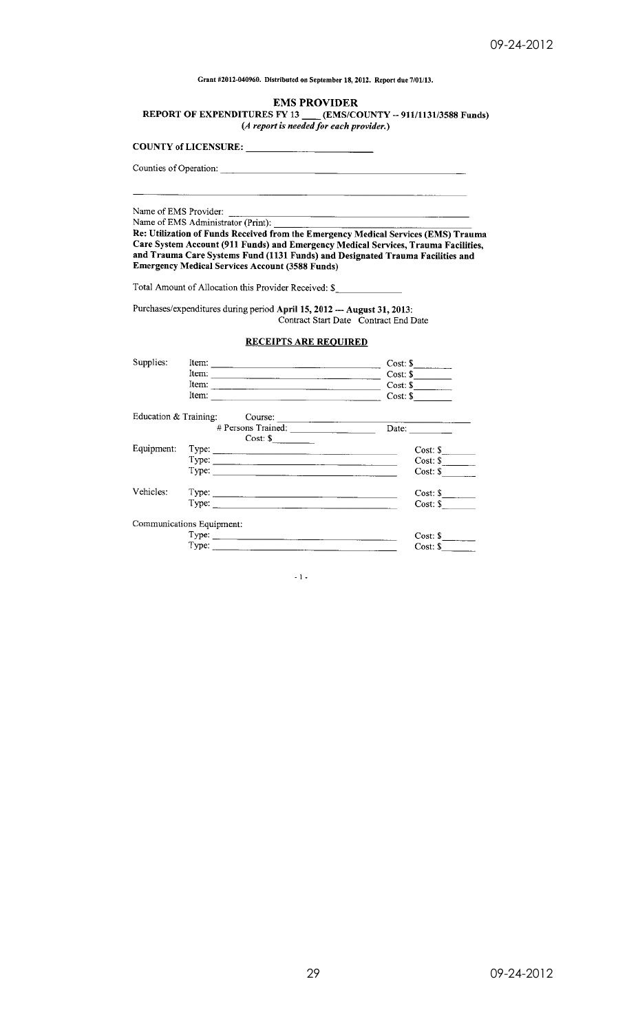Grant #2012-040960. Distributed on September 18, 2012. Report due 7/01/13.

### **EMS PROVIDER**

REPORT OF EXPENDITURES FY 13  $(6.4 \text{ report is needed for each provider.})$ 

**COUNTY of LICENSURE:** 

Counties of Operation:

Name of EMS Provider:

Name of EMS Administrator (Print):

Re: Utilization of Funds Received from the Emergency Medical Services (EMS) Trauma Care System Account (911 Funds) and Emergency Medical Services, Trauma Facilities, and Trauma Care Systems Fund (1131 Funds) and Designated Trauma Facilities and **Emergency Medical Services Account (3588 Funds)** 

Total Amount of Allocation this Provider Received: \$\_

Purchases/expenditures during period April 15, 2012 --- August 31, 2013:<br>Contract Start Date Contract End Date

### **RECEIPTS ARE REQUIRED**

| Supplies:             | Item:<br>the contract of the contract of the contract of the contract of the contract of                                                                                                                                                      | CostS                 |
|-----------------------|-----------------------------------------------------------------------------------------------------------------------------------------------------------------------------------------------------------------------------------------------|-----------------------|
|                       | Item:                                                                                                                                                                                                                                         | Cost: \$              |
|                       | Item:                                                                                                                                                                                                                                         | $Cost:$ $\frac{1}{2}$ |
|                       | Item:                                                                                                                                                                                                                                         | $Cost:$ $\frac{1}{2}$ |
| Education & Training: | Course:                                                                                                                                                                                                                                       |                       |
|                       |                                                                                                                                                                                                                                               | Date:                 |
|                       | $Cost: $ \_\_$                                                                                                                                                                                                                                |                       |
| Equipment:            | Type:<br><u>results and the contract of the contract of the contract of the contract of the contract of the contract of the contract of the contract of the contract of the contract of the contract of the contract of the contract of t</u> | $Cost: \S$            |
|                       |                                                                                                                                                                                                                                               | Cost: \$              |
|                       | Type:<br>and the control of the control of the control of the control of the control of the control of the control of the                                                                                                                     | Cost:                 |
| Vehicles:             |                                                                                                                                                                                                                                               | $Cost: \S$            |
|                       | Type: $\qquad \qquad$                                                                                                                                                                                                                         | Cost:                 |
|                       | Communications Equipment:                                                                                                                                                                                                                     |                       |
|                       |                                                                                                                                                                                                                                               | Cost:                 |
|                       | Type:                                                                                                                                                                                                                                         | $Cost:$ \$            |

 $\sim 1$  -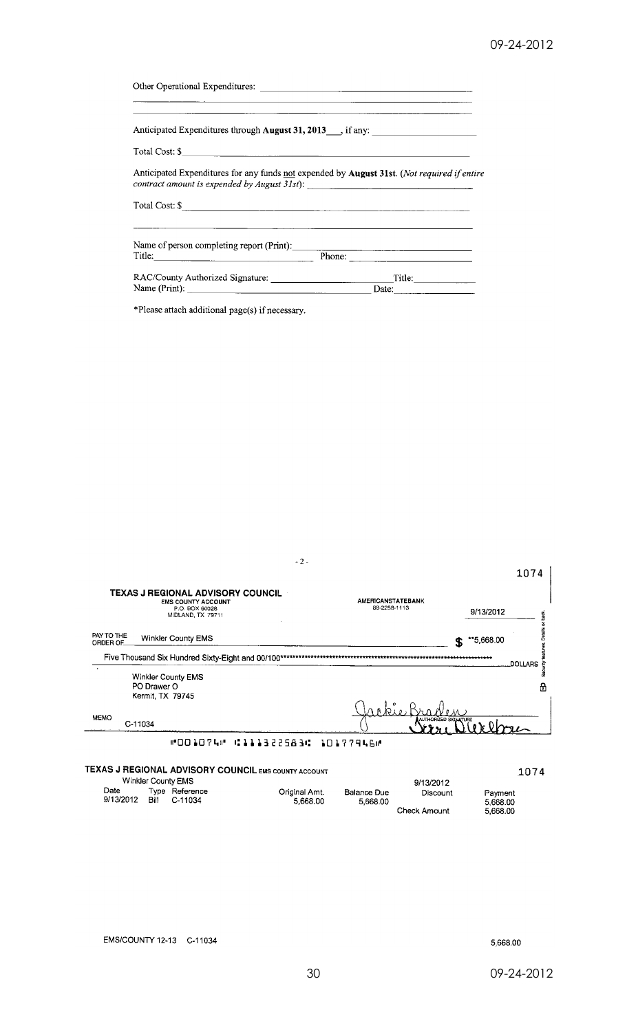| Anticipated Expenditures through August 31, 2013 ___, if any: ___________________                                                                                                                                                                                           |                                                                                                     |
|-----------------------------------------------------------------------------------------------------------------------------------------------------------------------------------------------------------------------------------------------------------------------------|-----------------------------------------------------------------------------------------------------|
| Total Cost: \$                                                                                                                                                                                                                                                              |                                                                                                     |
| contract amount is expended by August 31st):                                                                                                                                                                                                                                | Anticipated Expenditures for any funds not expended by <b>August 31st</b> . (Not required if entire |
| Total Cost: \$                                                                                                                                                                                                                                                              |                                                                                                     |
| Name of person completing report (Print):<br>Title: Phone: Phone: Phone: Phone: Phone: Phone: Phone: Phone: Phone: Phone: Phone: Phone: Phone: Phone: Phone: Phone: Phone: Phone: Phone: Phone: Phone: Phone: Phone: Phone: Phone: Phone: Phone: Phone: Phone: Phone: Phone |                                                                                                     |
|                                                                                                                                                                                                                                                                             | Date:                                                                                               |

\*Please attach additional page(s) if necessary.

|                        | $-2-$                                                                                                 |                                          |                                  |
|------------------------|-------------------------------------------------------------------------------------------------------|------------------------------------------|----------------------------------|
|                        |                                                                                                       |                                          | 1074                             |
|                        | TEXAS J REGIONAL ADVISORY COUNCIL<br><b>EMS COUNTY ACCOUNT</b><br>P.O. BOX 60028<br>MIDLAND, TX 79711 | <b>AMERICANSTATEBANK</b><br>88-2258-1113 | 9/13/2012<br>Ě                   |
| PAY TO THE<br>ORDER OF | Winkler County EMS                                                                                    |                                          | **5,668.00<br>£.                 |
|                        | Five Thousand Six Hundred Sixty-Eight and 00/100*                                                     |                                          | **************<br><b>DOLLARS</b> |
|                        | Winkler County EMS<br>PO Drawer O<br><b>Kermit, TX 79745</b>                                          |                                          | ஃ<br>A                           |
|                        |                                                                                                       | rkie                                     |                                  |
| <b>MEMO</b>            | C-11034                                                                                               |                                          | AUTHORIZED SIGNATURE             |
|                        | #001074# C111322583C 10177946#                                                                        |                                          |                                  |
|                        | TEXAS J REGIONAL ADVISORY COUNCIL EMS COUNTY ACCOUNT                                                  |                                          | 1074                             |

| Winkler County EMS |      |                           |                           |                         |                                       |                                 |
|--------------------|------|---------------------------|---------------------------|-------------------------|---------------------------------------|---------------------------------|
| Date<br>9/13/2012  | Bill | Type Reference<br>C-11034 | Original Amt.<br>5.668.00 | Balance Due<br>5.668.00 | 9/13/2012<br>Discount<br>Check Amount | Payment<br>5.668.00<br>5.668.00 |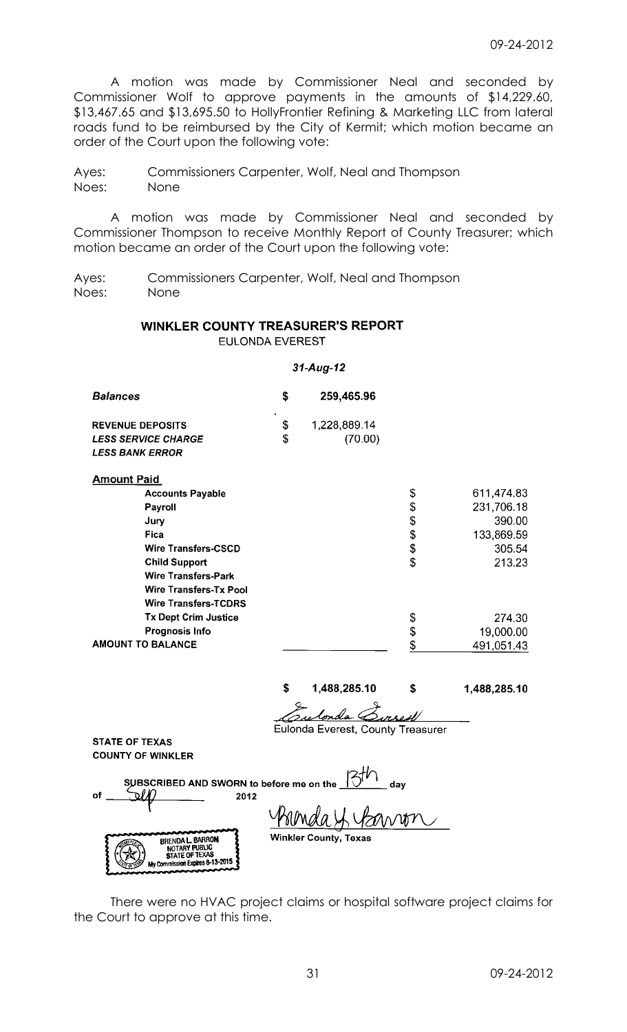A motion was made by Commissioner Neal and seconded by Commissioner Wolf to approve payments in the amounts of \$14,229.60, \$13,467.65 and \$13,695.50 to HollyFrontier Refining & Marketing LLC from lateral roads fund to be reimbursed by the City of Kermit; which motion became an order of the Court upon the following vote:

Ayes: Commissioners Carpenter, Wolf, Neal and Thompson Noes: None

A motion was made by Commissioner Neal and seconded by Commissioner Thompson to receive Monthly Report of County Treasurer; which motion became an order of the Court upon the following vote:

Ayes: Commissioners Carpenter, Wolf, Neal and Thompson Noes: None

## WINKLER COUNTY TREASURER'S REPORT **EULONDA EVEREST**

### $31-Aug-12$

| <b>Balances</b>            | S         | 259,465.96   |
|----------------------------|-----------|--------------|
| <b>REVENUE DEPOSITS</b>    | $\bullet$ | 1,228,889.14 |
| <b>LESS SERVICE CHARGE</b> | \$        | (70.00)      |
| <b>LESS BANK ERROR</b>     |           |              |

### **Amount Paid**

|                   | ---------                     |    |            |
|-------------------|-------------------------------|----|------------|
|                   | <b>Accounts Payable</b>       | \$ | 611,474.83 |
|                   | Payroll                       | \$ | 231,706.18 |
|                   | Jury                          | \$ | 390.00     |
|                   | <b>Fica</b>                   | \$ | 133,869.59 |
|                   | <b>Wire Transfers-CSCD</b>    | \$ | 305.54     |
|                   | <b>Child Support</b>          | \$ | 213.23     |
|                   | <b>Wire Transfers-Park</b>    |    |            |
|                   | <b>Wire Transfers-Tx Pool</b> |    |            |
|                   | <b>Wire Transfers-TCDRS</b>   |    |            |
|                   | <b>Tx Dept Crim Justice</b>   | S  | 274.30     |
|                   | <b>Prognosis Info</b>         | \$ | 19,000.00  |
| AMOUNT TO BALANCE |                               |    | 491,051.43 |
|                   |                               |    |            |

#### $\mathsf{s}$ 1,488,285.10  $\mathbf{\$}$

1,488,285.10

Sulonda Borres Eulonda Everest, County Treasurer

**STATE OF TEXAS COUNTY OF WINKLER** 

| of | SUBSCRIBED AND SWORN to before me on the                   | 2012 | dav                                     |
|----|------------------------------------------------------------|------|-----------------------------------------|
|    | <b>BRENDA L. BARRON</b><br>NOTARY PUBLIC<br>STATE OF TEXAS |      | L YAMAM<br><b>Winkler County, Texas</b> |
|    | My Commission Expires 8-13-2015                            |      |                                         |

There were no HVAC project claims or hospital software project claims for the Court to approve at this time.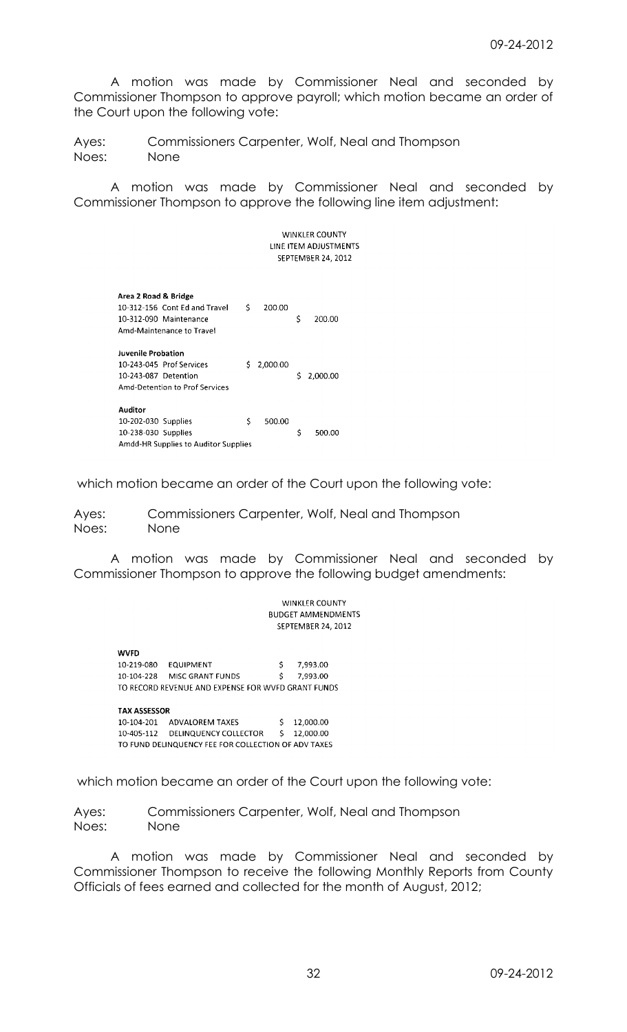A motion was made by Commissioner Neal and seconded by Commissioner Thompson to approve payroll; which motion became an order of the Court upon the following vote:

Ayes: Commissioners Carpenter, Wolf, Neal and Thompson Noes: None

A motion was made by Commissioner Neal and seconded by Commissioner Thompson to approve the following line item adjustment:

> **WINKLER COUNTY** LINE ITEM ADJUSTMENTS SEPTEMBER 24, 2012

| Area 2 Road & Bridge<br>10-312-156 Cont Ed and Travel<br>10-312-090 Maintenance<br>Amd-Maintenance to Travel | \$ | 200.00   | \$ | 200.00   |
|--------------------------------------------------------------------------------------------------------------|----|----------|----|----------|
| Juvenile Probation<br>10-243-045 Prof Services<br>10-243-087 Detention<br>Amd-Detention to Prof Services     | S. | 2,000.00 | Ś  | 2.000.00 |
| <b>Auditor</b><br>10-202-030 Supplies<br>10-238-030 Supplies<br>Amdd-HR Supplies to Auditor Supplies         | \$ | 500.00   | Ś  | 500.00   |

which motion became an order of the Court upon the following vote:

Ayes: Commissioners Carpenter, Wolf, Neal and Thompson Noes: None

A motion was made by Commissioner Neal and seconded by Commissioner Thompson to approve the following budget amendments:

> **WINKLER COUNTY BUDGET AMMENDMENTS** SEPTEMBER 24, 2012

**WVFD** 10-219-080 EQUIPMENT 7,993.00 \$ 10-104-228 MISC GRANT FUNDS 7,993.00  $\zeta$ TO RECORD REVENUE AND EXPENSE FOR WVFD GRANT FUNDS

**TAX ASSESSOR** 10-104-201 ADVALOREM TAXES<br>10-405-112 DELINQUENCY COLLECTOR  $$12,000.00$  $$12,000.00$ TO FUND DELINQUENCY FEE FOR COLLECTION OF ADV TAXES

which motion became an order of the Court upon the following vote:

Ayes: Commissioners Carpenter, Wolf, Neal and Thompson Noes: None

A motion was made by Commissioner Neal and seconded by Commissioner Thompson to receive the following Monthly Reports from County Officials of fees earned and collected for the month of August, 2012;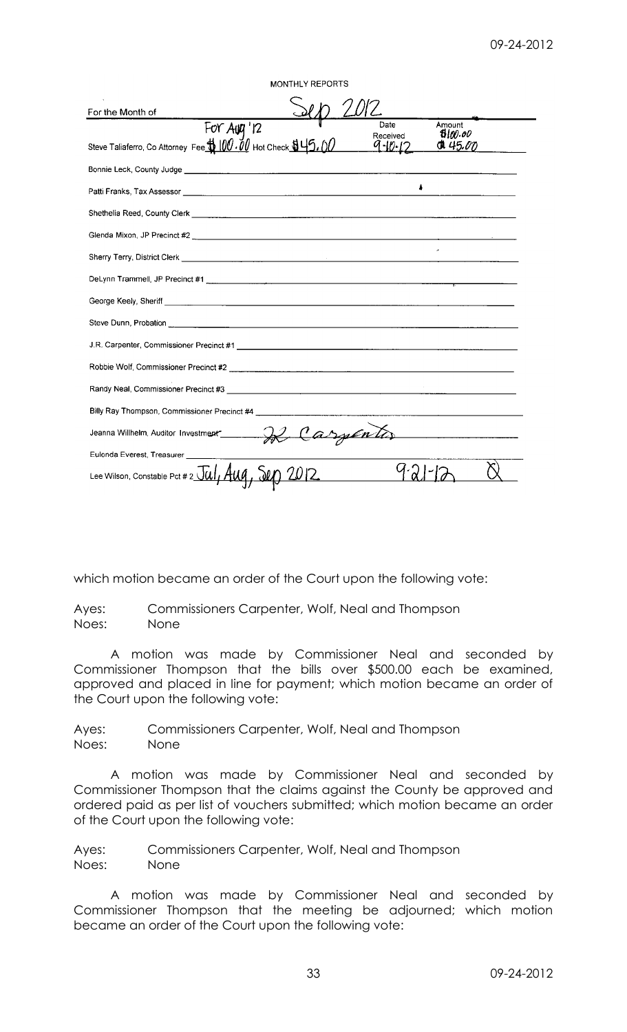| <b>MONTHLY REPORTS</b>                                                                                                                                                                                                               |                                                          |
|--------------------------------------------------------------------------------------------------------------------------------------------------------------------------------------------------------------------------------------|----------------------------------------------------------|
| For the Month of                                                                                                                                                                                                                     |                                                          |
| $\overline{For Aug'12}$<br>Steve Taliaferro, Co Attorney Fee <b>to 100.00</b> Hot Check <b>to 45.00</b>                                                                                                                              | Amount<br>Date<br>600.00<br>Received<br>45.00<br>9-10-12 |
|                                                                                                                                                                                                                                      |                                                          |
|                                                                                                                                                                                                                                      |                                                          |
| Shethelia Reed, County Clerk <u>expression and the contract of the contract of the contract of the contract of the contract of the contract of the contract of the contract of the contract of the contract of the contract of t</u> |                                                          |
|                                                                                                                                                                                                                                      |                                                          |
|                                                                                                                                                                                                                                      |                                                          |
|                                                                                                                                                                                                                                      |                                                          |
| George Keely, Sheriff <u>Community Community Community Community Community Community Community Community Community</u>                                                                                                               |                                                          |
|                                                                                                                                                                                                                                      |                                                          |
|                                                                                                                                                                                                                                      |                                                          |
|                                                                                                                                                                                                                                      |                                                          |
|                                                                                                                                                                                                                                      |                                                          |
|                                                                                                                                                                                                                                      |                                                          |
|                                                                                                                                                                                                                                      |                                                          |
| Eulonda Everest, Treasurer _____________                                                                                                                                                                                             |                                                          |
| Lee Wilson, Constable Pct # 2 $\overline{5aI}$ , $\overline{4uq}$                                                                                                                                                                    |                                                          |

which motion became an order of the Court upon the following vote:

Ayes: Commissioners Carpenter, Wolf, Neal and Thompson Noes: None

A motion was made by Commissioner Neal and seconded by Commissioner Thompson that the bills over \$500.00 each be examined, approved and placed in line for payment; which motion became an order of the Court upon the following vote:

Ayes: Commissioners Carpenter, Wolf, Neal and Thompson Noes: None

A motion was made by Commissioner Neal and seconded by Commissioner Thompson that the claims against the County be approved and ordered paid as per list of vouchers submitted; which motion became an order of the Court upon the following vote:

Ayes: Commissioners Carpenter, Wolf, Neal and Thompson Noes: None

A motion was made by Commissioner Neal and seconded by Commissioner Thompson that the meeting be adjourned; which motion became an order of the Court upon the following vote: